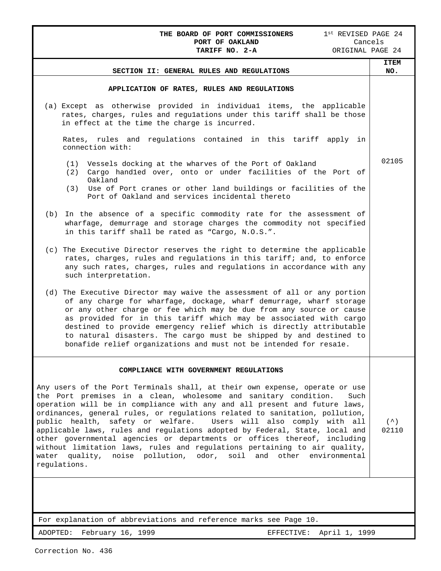**THE BOARD OF PORT COMMISSIONERS** 1<sup>st</sup> REVISED PAGE 24<br>**PORT OF OAKLAND** Cancels **PORT OF OAKLAND** Cancels<br> **TARIFF NO. 2-A** CRIGINAL PAGE 24 TARIFF NO. 2-A **SECTION II: GENERAL RULES AND REGULATIONS ITEM NO. APPLICATION OF RATES, RULES AND REGULATIONS** (a) Except as otherwise provided in individua1 items, the applicable rates, charges, rules and regulations under this tariff shall be those in effect at the time the charge is incurred. Rates, rules and regulations contained in this tariff apply in connection with: (1) Vessels docking at the wharves of the Port of Oakland (2) Cargo hand1ed over, onto or under facilities of the Port of Oakland (3) Use of Port cranes or other land buildings or facilities of the Port of Oakland and services incidental thereto (b) In the absence of a specific commodity rate for the assessment of wharfage, demurrage and storage charges the commodity not specified in this tariff shall be rated as "Cargo, N.O.S.". (c) The Executive Director reserves the right to determine the applicable rates, charges, rules and regulations in this tariff; and, to enforce any such rates, charges, rules and regulations in accordance with any such interpretation. (d) The Executive Director may waive the assessment of all or any portion of any charge for wharfage, dockage, wharf demurrage, wharf storage or any other charge or fee which may be due from any source or cause as provided for in this tariff which may be associated with cargo destined to provide emergency relief which is directly attributable to natural disasters. The cargo must be shipped by and destined to bonafide relief organizations and must not be intended for resa1e. 02105 **COMPLIANCE WITH GOVERNMENT REGULATIONS** Any users of the Port Terminals shall, at their own expense, operate or use the Port premises in a clean, wholesome and sanitary condition. Such operation will be in compliance with any and all present and future laws, ordinances, general rules, or regulations related to sanitation, pollution,<br>public health, safety or welfare. Users will also comply with all public health, safety or welfare. applicable laws, rules and regulations adopted by Federal, State, local and other governmental agencies or departments or offices thereof, including without limitation laws, rules and regulations pertaining to air quality, water quality, noise pollution, odor, soil and other environmental regulations.  $( \wedge )$ 02110

For explanation of abbreviations and reference marks see Page 10.

ADOPTED: February 16, 1999 EFFECTIVE: April 1, 1999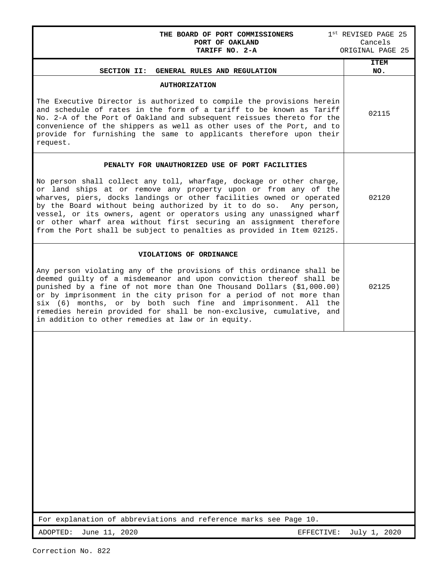| THE BOARD OF PORT COMMISSIONERS<br>PORT OF OAKLAND<br>TARIFF NO. 2-A                                                                                                                                                                                                                                                                                                                                                                                                                                         | $1st$ REVISED PAGE 25<br>Cancels<br>ORIGINAL PAGE 25 |
|--------------------------------------------------------------------------------------------------------------------------------------------------------------------------------------------------------------------------------------------------------------------------------------------------------------------------------------------------------------------------------------------------------------------------------------------------------------------------------------------------------------|------------------------------------------------------|
| SECTION II: GENERAL RULES AND REGULATION                                                                                                                                                                                                                                                                                                                                                                                                                                                                     | <b>ITEM</b><br>NO.                                   |
| <b>AUTHORIZATION</b>                                                                                                                                                                                                                                                                                                                                                                                                                                                                                         |                                                      |
| The Executive Director is authorized to compile the provisions herein<br>and schedule of rates in the form of a tariff to be known as Tariff<br>No. 2-A of the Port of Oakland and subsequent reissues thereto for the<br>convenience of the shippers as well as other uses of the Port, and to<br>provide for furnishing the same to applicants therefore upon their<br>request.                                                                                                                            | 02115                                                |
| PENALTY FOR UNAUTHORIZED USE OF PORT FACILITIES                                                                                                                                                                                                                                                                                                                                                                                                                                                              |                                                      |
| No person shall collect any toll, wharfage, dockage or other charge,<br>or land ships at or remove any property upon or from any of the<br>wharves, piers, docks landings or other facilities owned or operated<br>by the Board without being authorized by it to do so. Any person,<br>vessel, or its owners, agent or operators using any unassigned wharf<br>or other wharf area without first securing an assignment therefore<br>from the Port shall be subject to penalties as provided in Item 02125. | 02120                                                |
| VIOLATIONS OF ORDINANCE                                                                                                                                                                                                                                                                                                                                                                                                                                                                                      |                                                      |
| Any person violating any of the provisions of this ordinance shall be<br>deemed guilty of a misdemeanor and upon conviction thereof shall be<br>punished by a fine of not more than One Thousand Dollars (\$1,000.00)<br>or by imprisonment in the city prison for a period of not more than<br>six (6) months, or by both such fine and imprisonment. All the<br>remedies herein provided for shall be non-exclusive, cumulative, and<br>in addition to other remedies at law or in equity.                 | 02125                                                |
|                                                                                                                                                                                                                                                                                                                                                                                                                                                                                                              |                                                      |

For explanation of abbreviations and reference marks see Page 10.

ADOPTED: June 11, 2020 <br>
EFFECTIVE: July 1, 2020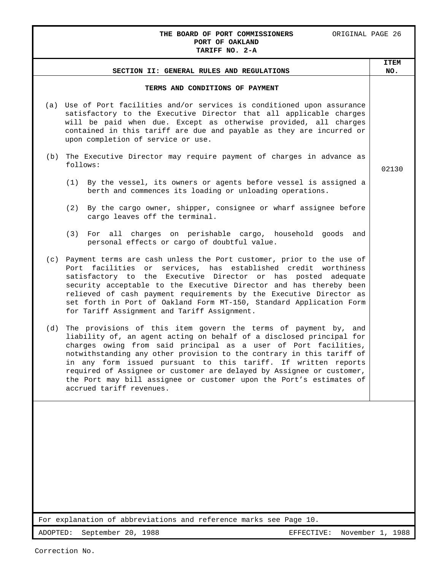### THE BOARD OF PORT COMMISSIONERS ORIGINAL PAGE 26 **PORT OF OAKLAND TARIFF NO. 2-A**

|                                                                                                                                                                                                                                                                                                                                                                                                                                                                                                                                          | <b>ITEM</b>      |
|------------------------------------------------------------------------------------------------------------------------------------------------------------------------------------------------------------------------------------------------------------------------------------------------------------------------------------------------------------------------------------------------------------------------------------------------------------------------------------------------------------------------------------------|------------------|
| SECTION II: GENERAL RULES AND REGULATIONS                                                                                                                                                                                                                                                                                                                                                                                                                                                                                                | NO.              |
| TERMS AND CONDITIONS OF PAYMENT                                                                                                                                                                                                                                                                                                                                                                                                                                                                                                          |                  |
| (a) Use of Port facilities and/or services is conditioned upon assurance<br>satisfactory to the Executive Director that all applicable charges<br>will be paid when due. Except as otherwise provided, all charges<br>contained in this tariff are due and payable as they are incurred or<br>upon completion of service or use.                                                                                                                                                                                                         |                  |
| The Executive Director may require payment of charges in advance as<br>(b)<br>follows:                                                                                                                                                                                                                                                                                                                                                                                                                                                   | 02130            |
| (1) By the vessel, its owners or agents before vessel is assigned a<br>berth and commences its loading or unloading operations.                                                                                                                                                                                                                                                                                                                                                                                                          |                  |
| By the cargo owner, shipper, consignee or wharf assignee before<br>(2)<br>cargo leaves off the terminal.                                                                                                                                                                                                                                                                                                                                                                                                                                 |                  |
| For all charges on perishable cargo, household goods and<br>(3)<br>personal effects or cargo of doubtful value.                                                                                                                                                                                                                                                                                                                                                                                                                          |                  |
| (c) Payment terms are cash unless the Port customer, prior to the use of<br>Port facilities or services, has established credit worthiness<br>satisfactory to the Executive Director or has posted adequate<br>security acceptable to the Executive Director and has thereby been<br>relieved of cash payment requirements by the Executive Director as<br>set forth in Port of Oakland Form MT-150, Standard Application Form<br>for Tariff Assignment and Tariff Assignment.                                                           |                  |
| The provisions of this item govern the terms of payment by, and<br>(d)<br>liability of, an agent acting on behalf of a disclosed principal for<br>charges owing from said principal as a user of Port facilities,<br>notwithstanding any other provision to the contrary in this tariff of<br>in any form issued pursuant to this tariff. If written reports<br>required of Assignee or customer are delayed by Assignee or customer,<br>the Port may bill assignee or customer upon the Port's estimates of<br>accrued tariff revenues. |                  |
|                                                                                                                                                                                                                                                                                                                                                                                                                                                                                                                                          |                  |
| For explanation of abbreviations and reference marks see Page 10.                                                                                                                                                                                                                                                                                                                                                                                                                                                                        |                  |
| September 20, 1988<br>ADOPTED:<br>EFFECTIVE:                                                                                                                                                                                                                                                                                                                                                                                                                                                                                             | November 1, 1988 |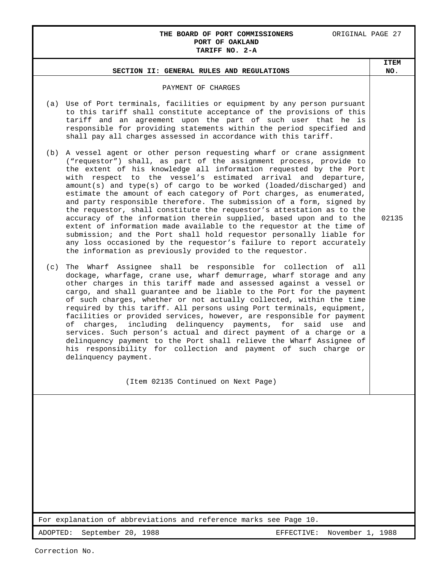### THE BOARD OF PORT COMMISSIONERS **ORIGINAL PAGE 27 PORT OF OAKLAND TARIFF NO. 2-A**

# For explanation of abbreviations and reference marks see Page 10. ADOPTED: September 20, 1988 EFFECTIVE: November 1, 1988 **SECTION II: GENERAL RULES AND REGULATIONS ITEM NO**. PAYMENT OF CHARGES (a) Use of Port terminals, facilities or equipment by any person pursuant to this tariff shall constitute acceptance of the provisions of this tariff and an agreement upon the part of such user that he is responsible for providing statements within the period specified and shall pay all charges assessed in accordance with this tariff. (b) A vessel agent or other person requesting wharf or crane assignment ("requestor") shall, as part of the assignment process, provide to the extent of his knowledge all information requested by the Port with respect to the vessel's estimated arrival and departure, amount(s) and type(s) of cargo to be worked (loaded/discharged) and estimate the amount of each category of Port charges, as enumerated, and party responsible therefore. The submission of a form, signed by the requestor, shall constitute the requestor's attestation as to the accuracy of the information therein supplied, based upon and to the extent of information made available to the requestor at the time of submission; and the Port shall hold requestor personally liable for any loss occasioned by the requestor's failure to report accurately the information as previously provided to the requestor. (c) The Wharf Assignee shall be responsible for collection of all dockage, wharfage, crane use, wharf demurrage, wharf storage and any other charges in this tariff made and assessed against a vessel or cargo, and shall guarantee and be liable to the Port for the payment of such charges, whether or not actually collected, within the time required by this tariff. All persons using Port terminals, equipment, facilities or provided services, however, are responsible for payment of charges, including delinquency payments, for said use and services. Such person's actual and direct payment of a charge or a delinquency payment to the Port shall relieve the Wharf Assignee of his responsibility for collection and payment of such charge or delinquency payment. (Item 02135 Continued on Next Page) 02135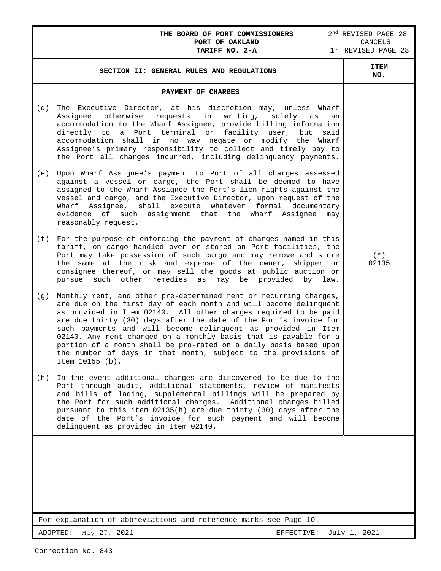## **THE BOARD OF PORT COMMISSIONERS** 2<sup>nd</sup> REVISED PAGE 28<br>**PORT OF OAKLAND** CANCELS **PORT OF OAKLAND** CANCELS **TARIFF NO. 2-A** 1<sup>st</sup> REVISED PAGE 28

| SECTION II: GENERAL RULES AND REGULATIONS                                                                                                                                                                                                                                                                                                                                                                                                                                                                                                                                            | <b>ITEM</b><br>NO. |
|--------------------------------------------------------------------------------------------------------------------------------------------------------------------------------------------------------------------------------------------------------------------------------------------------------------------------------------------------------------------------------------------------------------------------------------------------------------------------------------------------------------------------------------------------------------------------------------|--------------------|
| PAYMENT OF CHARGES                                                                                                                                                                                                                                                                                                                                                                                                                                                                                                                                                                   |                    |
| The Executive Director, at his discretion may, unless Wharf<br>(d)<br>otherwise<br>requests<br>in<br>writing,<br>solely as<br>Assignee<br>an<br>accommodation to the Wharf Assignee, provide billing information<br>a Port terminal or facility user,<br>directly to<br>but<br>said<br>accommodation shall in no way negate or modify the<br>Wharf<br>Assignee's primary responsibility to collect and timely pay to<br>the Port all charges incurred, including delinquency payments.                                                                                               |                    |
| Upon Wharf Assignee's payment to Port of all charges assessed<br>(e)<br>against a vessel or cargo, the Port shall be deemed to have<br>assigned to the Wharf Assignee the Port's lien rights against the<br>vessel and cargo, and the Executive Director, upon request of the<br>Wharf Assignee, shall execute whatever formal<br>documentary<br>evidence of such assignment that the<br>Wharf<br>Assignee<br>may<br>reasonably request.                                                                                                                                             |                    |
| For the purpose of enforcing the payment of charges named in this<br>(f)<br>tariff, on cargo handled over or stored on Port facilities, the<br>Port may take possession of such cargo and may remove and store<br>the same at the risk and expense of the owner, shipper or<br>consignee thereof, or may sell the goods at public auction or<br>other remedies<br>such<br>may be provided<br>pursue<br>as<br>by<br>law.                                                                                                                                                              | $(* )$<br>02135    |
| Monthly rent, and other pre-determined rent or recurring charges,<br>(q)<br>are due on the first day of each month and will become delinquent<br>as provided in Item 02140. All other charges required to be paid<br>are due thirty (30) days after the date of the Port's invoice for<br>such payments and will become delinquent as provided in Item<br>02140. Any rent charged on a monthly basis that is payable for a<br>portion of a month shall be pro-rated on a daily basis based upon<br>the number of days in that month, subject to the provisions of<br>Item 10155 (b). |                    |
| In the event additional charges are discovered to be due to the<br>(h)<br>Port through audit, additional statements, review of manifests<br>and bills of lading, supplemental billings will be prepared by<br>the Port for such additional charges. Additional charges billed<br>pursuant to this item 02135(h) are due thirty (30) days after the<br>date of the Port's invoice for such payment and will become<br>delinquent as provided in Item 02140.                                                                                                                           |                    |
|                                                                                                                                                                                                                                                                                                                                                                                                                                                                                                                                                                                      |                    |
| For explanation of abbreviations and reference marks see Page 10.                                                                                                                                                                                                                                                                                                                                                                                                                                                                                                                    |                    |
| ADOPTED: May 27, 2021<br>EFFECTIVE:                                                                                                                                                                                                                                                                                                                                                                                                                                                                                                                                                  | July 1, 2021       |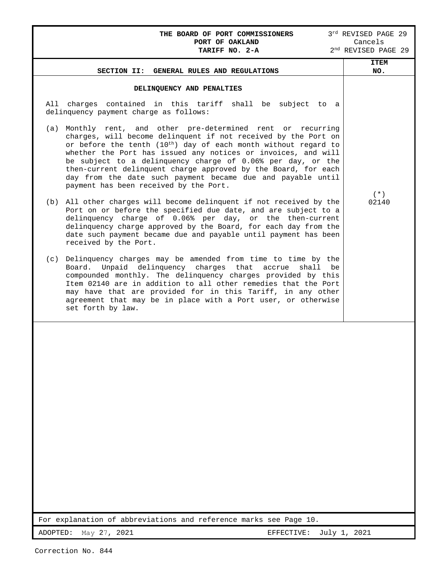| <b>THE BOARD OF PORT COMMISSIONERS</b><br>PORT OF OAKLAND<br>TARIFF NO. 2-A                                                                                                                                                                                                                                                                                                                                                                                                                                              | 3rd REVISED PAGE 29<br>Cancels<br>2 <sup>nd</sup> REVISED PAGE 29 |
|--------------------------------------------------------------------------------------------------------------------------------------------------------------------------------------------------------------------------------------------------------------------------------------------------------------------------------------------------------------------------------------------------------------------------------------------------------------------------------------------------------------------------|-------------------------------------------------------------------|
| SECTION II:<br>GENERAL RULES AND REGULATIONS                                                                                                                                                                                                                                                                                                                                                                                                                                                                             | <b>ITEM</b><br>NO.                                                |
| DELINQUENCY AND PENALTIES<br>All charges contained in this tariff shall be subject to a<br>delinquency payment charge as follows:                                                                                                                                                                                                                                                                                                                                                                                        |                                                                   |
| (a) Monthly rent, and other pre-determined rent or recurring<br>charges, will become delinquent if not received by the Port on<br>or before the tenth (10 <sup>th</sup> ) day of each month without regard to<br>whether the Port has issued any notices or invoices, and will<br>be subject to a delinquency charge of 0.06% per day, or the<br>then-current delinquent charge approved by the Board, for each<br>day from the date such payment became due and payable until<br>payment has been received by the Port. |                                                                   |
| (b) All other charges will become delinquent if not received by the<br>Port on or before the specified due date, and are subject to a<br>delinquency charge of 0.06% per day, or the then-current<br>delinquency charge approved by the Board, for each day from the<br>date such payment became due and payable until payment has been<br>received by the Port.                                                                                                                                                         | $(* )$<br>02140                                                   |
| Delinquency charges may be amended from time to time by the<br>(c)<br>Unpaid delinquency charges that<br>Board.<br>accrue<br>shall be<br>compounded monthly. The delinquency charges provided by this<br>Item 02140 are in addition to all other remedies that the Port<br>may have that are provided for in this Tariff, in any other<br>agreement that may be in place with a Port user, or otherwise<br>set forth by law.                                                                                             |                                                                   |
|                                                                                                                                                                                                                                                                                                                                                                                                                                                                                                                          |                                                                   |
|                                                                                                                                                                                                                                                                                                                                                                                                                                                                                                                          |                                                                   |
|                                                                                                                                                                                                                                                                                                                                                                                                                                                                                                                          |                                                                   |
| For explanation of abbreviations and reference marks see Page 10.                                                                                                                                                                                                                                                                                                                                                                                                                                                        |                                                                   |
| May 27, 2021<br>ADOPTED:<br>EFFECTIVE:                                                                                                                                                                                                                                                                                                                                                                                                                                                                                   | July 1, 2021                                                      |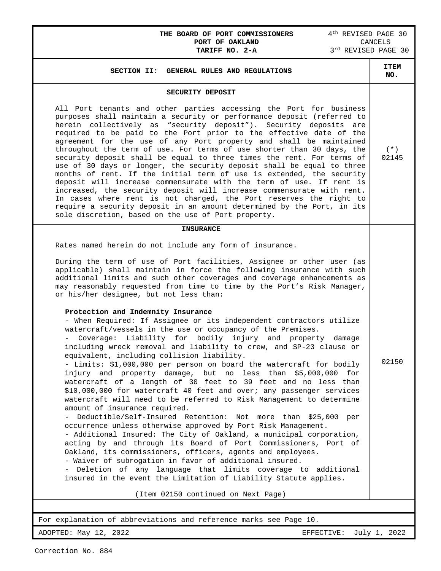## **THE BOARD OF PORT COMMISSIONERS**  $4^{\text{th}}$  REVISED PAGE 30<br>**PORT OF OAKLAND** CANCELS **PORT OF OAKLAND** CANCELS **TARIFF NO. 2-A** 3<sup>rd</sup> REVISED PAGE 30

| SECURITY DEPOSIT<br>All Port tenants and other parties accessing the Port for business<br>purposes shall maintain a security or performance deposit (referred to<br>herein collectively as "security deposit"). Security deposits are<br>required to be paid to the Port prior to the effective date of the                                                                                                                                                                                                                                                                                                                                                                                                                                                                                                                                                                                                                                                                                                                                                                                                                                                                                                                                                                                                                                                                                                                                                                                                                                                                                                                                                                                                                                                           |                 |
|-----------------------------------------------------------------------------------------------------------------------------------------------------------------------------------------------------------------------------------------------------------------------------------------------------------------------------------------------------------------------------------------------------------------------------------------------------------------------------------------------------------------------------------------------------------------------------------------------------------------------------------------------------------------------------------------------------------------------------------------------------------------------------------------------------------------------------------------------------------------------------------------------------------------------------------------------------------------------------------------------------------------------------------------------------------------------------------------------------------------------------------------------------------------------------------------------------------------------------------------------------------------------------------------------------------------------------------------------------------------------------------------------------------------------------------------------------------------------------------------------------------------------------------------------------------------------------------------------------------------------------------------------------------------------------------------------------------------------------------------------------------------------|-----------------|
| agreement for the use of any Port property and shall be maintained<br>throughout the term of use. For terms of use shorter than 30 days, the<br>security deposit shall be equal to three times the rent. For terms of<br>use of 30 days or longer, the security deposit shall be equal to three<br>months of rent. If the initial term of use is extended, the security<br>deposit will increase commensurate with the term of use. If rent is<br>increased, the security deposit will increase commensurate with rent.<br>In cases where rent is not charged, the Port reserves the right to<br>require a security deposit in an amount determined by the Port, in its<br>sole discretion, based on the use of Port property.                                                                                                                                                                                                                                                                                                                                                                                                                                                                                                                                                                                                                                                                                                                                                                                                                                                                                                                                                                                                                                        | $(* )$<br>02145 |
| <b>INSURANCE</b><br>Rates named herein do not include any form of insurance.<br>During the term of use of Port facilities, Assignee or other user (as<br>applicable) shall maintain in force the following insurance with such<br>additional limits and such other coverages and coverage enhancements as<br>may reasonably requested from time to time by the Port's Risk Manager,<br>or his/her designee, but not less than:<br>Protection and Indemnity Insurance<br>- When Required: If Assignee or its independent contractors utilize<br>watercraft/vessels in the use or occupancy of the Premises.<br>Coverage: Liability for bodily injury and property damage<br>including wreck removal and liability to crew, and SP-23 clause or<br>equivalent, including collision liability.<br>- Limits: \$1,000,000 per person on board the watercraft for bodily<br>injury and property damage, but no less than \$5,000,000 for<br>watercraft of a length of 30 feet to 39 feet and no less than<br>\$10,000,000 for watercraft 40 feet and over; any passenger services<br>watercraft will need to be referred to Risk Management to determine<br>amount of insurance required.<br>Deductible/Self-Insured Retention: Not more than \$25,000 per<br>occurrence unless otherwise approved by Port Risk Management.<br>- Additional Insured: The City of Oakland, a municipal corporation,<br>acting by and through its Board of Port Commissioners, Port of<br>Oakland, its commissioners, officers, agents and employees.<br>- Waiver of subrogation in favor of additional insured.<br>- Deletion of any language that limits coverage to additional<br>insured in the event the Limitation of Liability Statute applies.<br>(Item 02150 continued on Next Page) | 02150           |

L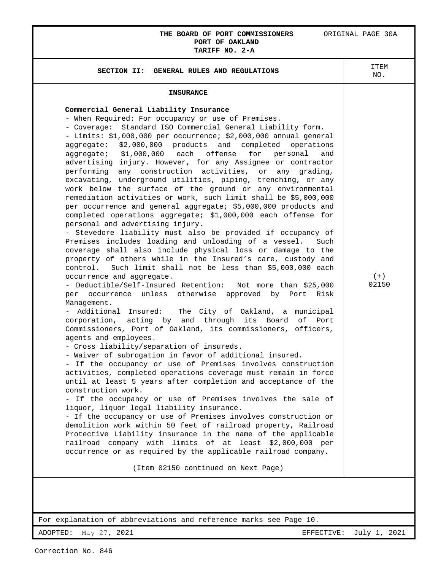## **THE BOARD OF PORT COMMISSIONERS** ORIGINAL PAGE 30A **PORT OF OAKLAND**

**TARIFF NO. 2-A SECTION II: GENERAL RULES AND REGULATIONS ITEM** NO. **INSURANCE Commercial General Liability Insurance**  - When Required: For occupancy or use of Premises. - Coverage: Standard ISO Commercial General Liability form. - Limits: \$1,000,000 per occurrence; \$2,000,000 annual general aggregate; \$2,000,000 products and completed operations aggregate; \$1,000,000 each offense for personal and advertising injury. However, for any Assignee or contractor performing any construction activities, or any grading, excavating, underground utilities, piping, trenching, or any work below the surface of the ground or any environmental remediation activities or work, such limit shall be \$5,000,000 per occurrence and general aggregate; \$5,000,000 products and completed operations aggregate; \$1,000,000 each offense for personal and advertising injury. - Stevedore liability must also be provided if occupancy of Premises includes loading and unloading of a vessel. Such coverage shall also include physical loss or damage to the property of others while in the Insured's care, custody and control. Such limit shall not be less than \$5,000,000 each occurrence and aggregate. - Deductible/Self-Insured Retention: Not more than \$25,000 per occurrence unless otherwise approved by Port Risk Management. - Additional Insured: The City of Oakland, a municipal corporation, acting by and through its Board of Port Commissioners, Port of Oakland, its commissioners, officers, agents and employees. - Cross liability/separation of insureds. - Waiver of subrogation in favor of additional insured. - If the occupancy or use of Premises involves construction activities, completed operations coverage must remain in force until at least 5 years after completion and acceptance of the construction work. - If the occupancy or use of Premises involves the sale of liquor, liquor legal liability insurance. - If the occupancy or use of Premises involves construction or demolition work within 50 feet of railroad property, Railroad Protective Liability insurance in the name of the applicable railroad company with limits of at least \$2,000,000 per occurrence or as required by the applicable railroad company. (Item 02150 continued on Next Page)  $(+)$ 02150

For explanation of abbreviations and reference marks see Page 10.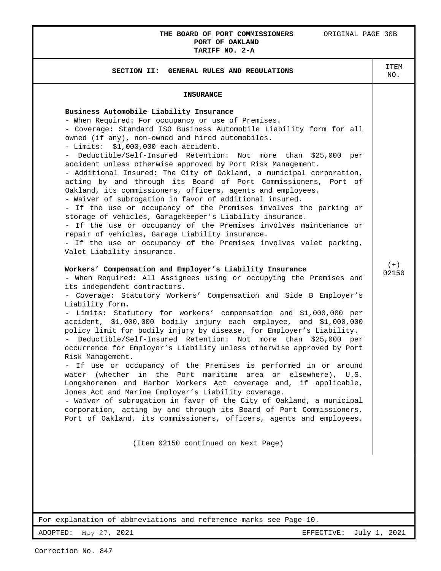## **THE BOARD OF PORT COMMISSIONERS** ORIGINAL PAGE 30B **PORT OF OAKLAND**

## **TARIFF NO. 2-A SECTION II: GENERAL RULES AND REGULATIONS ITEM** NO. **INSURANCE Business Automobile Liability Insurance**  - When Required: For occupancy or use of Premises. - Coverage: Standard ISO Business Automobile Liability form for all owned (if any), non-owned and hired automobiles. - Limits: \$1,000,000 each accident. - Deductible/Self-Insured Retention: Not more than \$25,000 per accident unless otherwise approved by Port Risk Management. - Additional Insured: The City of Oakland, a municipal corporation, acting by and through its Board of Port Commissioners, Port of Oakland, its commissioners, officers, agents and employees. - Waiver of subrogation in favor of additional insured. - If the use or occupancy of the Premises involves the parking or storage of vehicles, Garagekeeper's Liability insurance. - If the use or occupancy of the Premises involves maintenance or repair of vehicles, Garage Liability insurance. - If the use or occupancy of the Premises involves valet parking, Valet Liability insurance. **Workers' Compensation and Employer's Liability Insurance**  - When Required: All Assignees using or occupying the Premises and its independent contractors. - Coverage: Statutory Workers' Compensation and Side B Employer's Liability form. - Limits: Statutory for workers' compensation and \$1,000,000 per accident, \$1,000,000 bodily injury each employee, and \$1,000,000 policy limit for bodily injury by disease, for Employer's Liability. - Deductible/Self-Insured Retention: Not more than \$25,000 per occurrence for Employer's Liability unless otherwise approved by Port Risk Management. - If use or occupancy of the Premises is performed in or around water (whether in the Port maritime area or elsewhere), U.S. Longshoremen and Harbor Workers Act coverage and, if applicable, Jones Act and Marine Employer's Liability coverage. - Waiver of subrogation in favor of the City of Oakland, a municipal corporation, acting by and through its Board of Port Commissioners, Port of Oakland, its commissioners, officers, agents and employees. (Item 02150 continued on Next Page)  $(+)$ 02150

For explanation of abbreviations and reference marks see Page 10.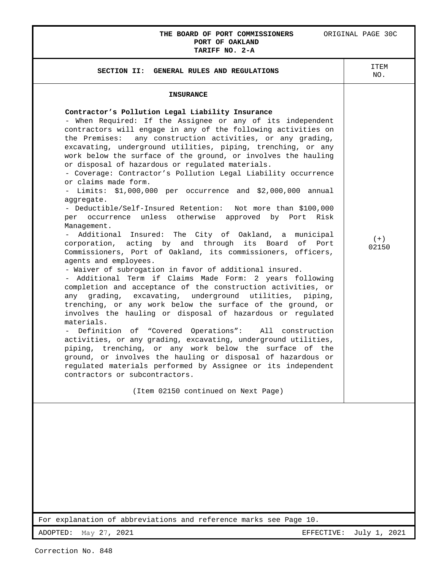### **THE BOARD OF PORT COMMISSIONERS** ORIGINAL PAGE 30C **PORT OF OAKLAND TARIFF NO. 2-A**

| IARIFF NV. 4-A                                                                                                                                                                                                                                                                                                                                                                                                                                                                                                                                                                                                                                                                                                                                                                                                                                                                                                                                                                                                                                                                                                                                                                                                                                                                                                                                                                                                                                                                                                                                                                                                                                                                                                                                                                    |                |
|-----------------------------------------------------------------------------------------------------------------------------------------------------------------------------------------------------------------------------------------------------------------------------------------------------------------------------------------------------------------------------------------------------------------------------------------------------------------------------------------------------------------------------------------------------------------------------------------------------------------------------------------------------------------------------------------------------------------------------------------------------------------------------------------------------------------------------------------------------------------------------------------------------------------------------------------------------------------------------------------------------------------------------------------------------------------------------------------------------------------------------------------------------------------------------------------------------------------------------------------------------------------------------------------------------------------------------------------------------------------------------------------------------------------------------------------------------------------------------------------------------------------------------------------------------------------------------------------------------------------------------------------------------------------------------------------------------------------------------------------------------------------------------------|----------------|
| SECTION II: GENERAL RULES AND REGULATIONS                                                                                                                                                                                                                                                                                                                                                                                                                                                                                                                                                                                                                                                                                                                                                                                                                                                                                                                                                                                                                                                                                                                                                                                                                                                                                                                                                                                                                                                                                                                                                                                                                                                                                                                                         | ITEM<br>NO.    |
| <b>INSURANCE</b><br>Contractor's Pollution Legal Liability Insurance<br>- When Required: If the Assignee or any of its independent<br>contractors will engage in any of the following activities on<br>the Premises: any construction activities, or any grading,<br>excavating, underground utilities, piping, trenching, or any<br>work below the surface of the ground, or involves the hauling<br>or disposal of hazardous or regulated materials.<br>- Coverage: Contractor's Pollution Legal Liability occurrence<br>or claims made form.<br>- Limits: \$1,000,000 per occurrence and \$2,000,000 annual<br>aggregate.<br>- Deductible/Self-Insured Retention: Not more than \$100,000<br>per occurrence unless otherwise approved by Port Risk<br>Management.<br>Additional Insured: The City of Oakland, a municipal<br>corporation, acting by and through its Board<br>of<br>Port<br>Commissioners, Port of Oakland, its commissioners, officers,<br>agents and employees.<br>- Waiver of subrogation in favor of additional insured.<br>- Additional Term if Claims Made Form: 2 years following<br>completion and acceptance of the construction activities, or<br>any grading, excavating, underground utilities, piping,<br>trenching, or any work below the surface of the ground, or<br>involves the hauling or disposal of hazardous or regulated<br>materials.<br>- Definition of "Covered Operations":<br>All construction<br>activities, or any grading, excavating, underground utilities,<br>piping, trenching, or any work below the surface of the<br>ground, or involves the hauling or disposal of hazardous or<br>regulated materials performed by Assignee or its independent<br>contractors or subcontractors.<br>(Item 02150 continued on Next Page) | $(+)$<br>02150 |
|                                                                                                                                                                                                                                                                                                                                                                                                                                                                                                                                                                                                                                                                                                                                                                                                                                                                                                                                                                                                                                                                                                                                                                                                                                                                                                                                                                                                                                                                                                                                                                                                                                                                                                                                                                                   |                |
| For explanation of abbreviations and reference marks see Page 10.                                                                                                                                                                                                                                                                                                                                                                                                                                                                                                                                                                                                                                                                                                                                                                                                                                                                                                                                                                                                                                                                                                                                                                                                                                                                                                                                                                                                                                                                                                                                                                                                                                                                                                                 |                |
| ADOPTED:<br>May 27, 2021<br>EFFECTIVE:                                                                                                                                                                                                                                                                                                                                                                                                                                                                                                                                                                                                                                                                                                                                                                                                                                                                                                                                                                                                                                                                                                                                                                                                                                                                                                                                                                                                                                                                                                                                                                                                                                                                                                                                            | July 1, 2021   |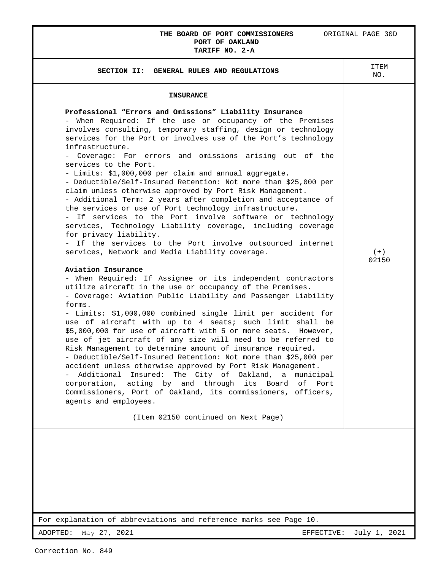## **THE BOARD OF PORT COMMISSIONERS** ORIGINAL PAGE 30D **PORT OF OAKLAND**

# **TARIFF NO. 2-A**

| <b>INSURANCE</b><br>Professional "Errors and Omissions" Liability Insurance<br>- When Required: If the use or occupancy of the Premises<br>involves consulting, temporary staffing, design or technology<br>services for the Port or involves use of the Port's technology<br>infrastructure.<br>- Coverage: For errors and omissions arising out of the<br>services to the Port.<br>- Limits: \$1,000,000 per claim and annual aggregate.<br>- Deductible/Self-Insured Retention: Not more than \$25,000 per<br>claim unless otherwise approved by Port Risk Management.<br>- Additional Term: 2 years after completion and acceptance of<br>the services or use of Port technology infrastructure.<br>- If services to the Port involve software or technology<br>services, Technology Liability coverage, including coverage<br>for privacy liability.<br>- If the services to the Port involve outsourced internet<br>services, Network and Media Liability coverage.<br>Aviation Insurance<br>- When Required: If Assignee or its independent contractors<br>utilize aircraft in the use or occupancy of the Premises.<br>- Coverage: Aviation Public Liability and Passenger Liability<br>forms.<br>- Limits: \$1,000,000 combined single limit per accident for<br>use of aircraft with up to 4 seats; such limit shall be<br>\$5,000,000 for use of aircraft with 5 or more seats. However,<br>use of jet aircraft of any size will need to be referred to<br>Risk Management to determine amount of insurance required.<br>- Deductible/Self-Insured Retention: Not more than \$25,000 per<br>accident unless otherwise approved by Port Risk Management.<br>- Additional Insured: The City of Oakland, a municipal<br>corporation, acting by and through its Board of Port<br>Commissioners, Port of Oakland, its commissioners, officers,<br>agents and employees.<br>(Item 02150 continued on Next Page) | SECTION II: GENERAL RULES AND REGULATIONS | ITEM<br>NO.    |
|----------------------------------------------------------------------------------------------------------------------------------------------------------------------------------------------------------------------------------------------------------------------------------------------------------------------------------------------------------------------------------------------------------------------------------------------------------------------------------------------------------------------------------------------------------------------------------------------------------------------------------------------------------------------------------------------------------------------------------------------------------------------------------------------------------------------------------------------------------------------------------------------------------------------------------------------------------------------------------------------------------------------------------------------------------------------------------------------------------------------------------------------------------------------------------------------------------------------------------------------------------------------------------------------------------------------------------------------------------------------------------------------------------------------------------------------------------------------------------------------------------------------------------------------------------------------------------------------------------------------------------------------------------------------------------------------------------------------------------------------------------------------------------------------------------------------------------------------------------------------------------------------------------------------|-------------------------------------------|----------------|
|                                                                                                                                                                                                                                                                                                                                                                                                                                                                                                                                                                                                                                                                                                                                                                                                                                                                                                                                                                                                                                                                                                                                                                                                                                                                                                                                                                                                                                                                                                                                                                                                                                                                                                                                                                                                                                                                                                                      |                                           |                |
|                                                                                                                                                                                                                                                                                                                                                                                                                                                                                                                                                                                                                                                                                                                                                                                                                                                                                                                                                                                                                                                                                                                                                                                                                                                                                                                                                                                                                                                                                                                                                                                                                                                                                                                                                                                                                                                                                                                      |                                           | $(+)$<br>02150 |
|                                                                                                                                                                                                                                                                                                                                                                                                                                                                                                                                                                                                                                                                                                                                                                                                                                                                                                                                                                                                                                                                                                                                                                                                                                                                                                                                                                                                                                                                                                                                                                                                                                                                                                                                                                                                                                                                                                                      |                                           |                |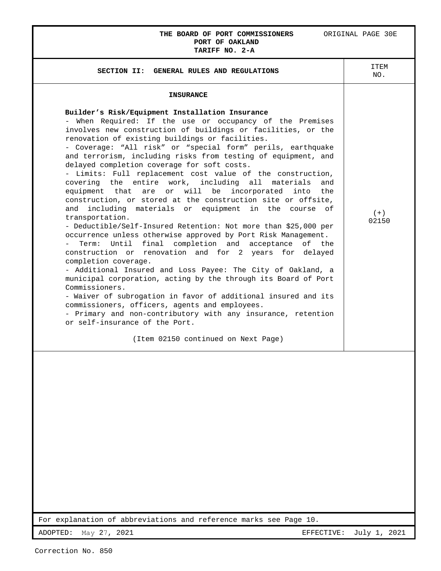## **THE BOARD OF PORT COMMISSIONERS** ORIGINAL PAGE 30E **PORT OF OAKLAND TARIFF NO. 2-A**

| <b>INSURANCE</b><br>Builder's Risk/Equipment Installation Insurance<br>- When Required: If the use or occupancy of the Premises<br>involves new construction of buildings or facilities, or the<br>renovation of existing buildings or facilities.<br>- Coverage: "All risk" or "special form" perils, earthquake<br>and terrorism, including risks from testing of equipment, and<br>delayed completion coverage for soft costs.<br>- Limits: Full replacement cost value of the construction,<br>covering the entire work, including all materials<br>and<br>are or will be<br>equipment that<br>incorporated<br>into the<br>construction, or stored at the construction site or offsite,<br>including materials or equipment in the course of<br>and<br>$(+)$<br>transportation.<br>02150<br>- Deductible/Self-Insured Retention: Not more than \$25,000 per<br>occurrence unless otherwise approved by Port Risk Management.<br>Term: Until final completion and acceptance<br>of the<br>construction or renovation and for 2 years for delayed<br>completion coverage.<br>- Additional Insured and Loss Payee: The City of Oakland, a<br>municipal corporation, acting by the through its Board of Port<br>Commissioners.<br>- Waiver of subrogation in favor of additional insured and its<br>commissioners, officers, agents and employees. | SECTION II: GENERAL RULES AND REGULATIONS                    | ITEM<br>NO. |
|----------------------------------------------------------------------------------------------------------------------------------------------------------------------------------------------------------------------------------------------------------------------------------------------------------------------------------------------------------------------------------------------------------------------------------------------------------------------------------------------------------------------------------------------------------------------------------------------------------------------------------------------------------------------------------------------------------------------------------------------------------------------------------------------------------------------------------------------------------------------------------------------------------------------------------------------------------------------------------------------------------------------------------------------------------------------------------------------------------------------------------------------------------------------------------------------------------------------------------------------------------------------------------------------------------------------------------------------------|--------------------------------------------------------------|-------------|
|                                                                                                                                                                                                                                                                                                                                                                                                                                                                                                                                                                                                                                                                                                                                                                                                                                                                                                                                                                                                                                                                                                                                                                                                                                                                                                                                                    |                                                              |             |
| or self-insurance of the Port.<br>(Item 02150 continued on Next Page)                                                                                                                                                                                                                                                                                                                                                                                                                                                                                                                                                                                                                                                                                                                                                                                                                                                                                                                                                                                                                                                                                                                                                                                                                                                                              | - Primary and non-contributory with any insurance, retention |             |

For explanation of abbreviations and reference marks see Page 10.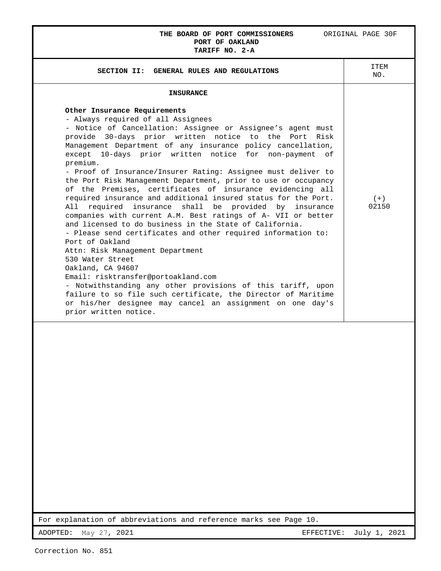## **THE BOARD OF PORT COMMISSIONERS** ORIGINAL PAGE 30F **PORT OF OAKLAND**

| <b>INSURANCE</b><br>Other Insurance Requirements<br>- Always required of all Assignees<br>- Notice of Cancellation: Assignee or Assignee's agent must<br>provide 30-days prior written notice to the Port Risk<br>Management Department of any insurance policy cancellation,                                                                                                                                                                                                                                                                                                                                                                                                                                                                                                                                                                                                                      |                |
|----------------------------------------------------------------------------------------------------------------------------------------------------------------------------------------------------------------------------------------------------------------------------------------------------------------------------------------------------------------------------------------------------------------------------------------------------------------------------------------------------------------------------------------------------------------------------------------------------------------------------------------------------------------------------------------------------------------------------------------------------------------------------------------------------------------------------------------------------------------------------------------------------|----------------|
|                                                                                                                                                                                                                                                                                                                                                                                                                                                                                                                                                                                                                                                                                                                                                                                                                                                                                                    |                |
| except 10-days prior written notice for non-payment of                                                                                                                                                                                                                                                                                                                                                                                                                                                                                                                                                                                                                                                                                                                                                                                                                                             |                |
| premium.<br>- Proof of Insurance/Insurer Rating: Assignee must deliver to<br>the Port Risk Management Department, prior to use or occupancy<br>of the Premises, certificates of insurance evidencing all<br>required insurance and additional insured status for the Port.<br>All required<br>insurance shall be provided by<br>insurance<br>companies with current A.M. Best ratings of A- VII or better<br>and licensed to do business in the State of California.<br>- Please send certificates and other required information to:<br>Port of Oakland<br>Attn: Risk Management Department<br>530 Water Street<br>Oakland, CA 94607<br>Email: risktransfer@portoakland.com<br>- Notwithstanding any other provisions of this tariff, upon<br>failure to so file such certificate, the Director of Maritime<br>or his/her designee may cancel an assignment on one day's<br>prior written notice. | $(+)$<br>02150 |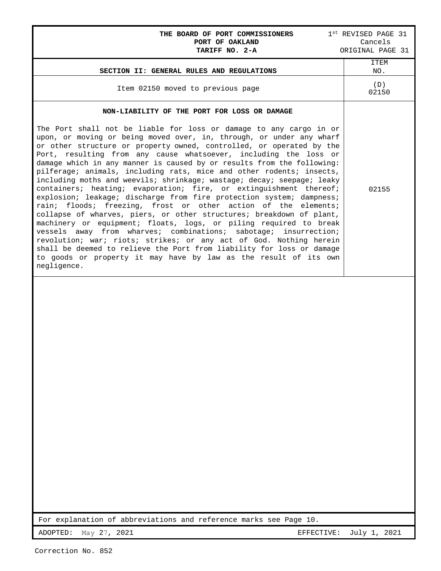| THE BOARD OF PORT COMMISSIONERS<br>PORT OF OAKLAND<br>TARIFF NO. 2-A                                                                                                                                                                                                                                                                                                                                                                                                                                                                                                                                                                                                                                                                                                                                                                                                                                                                                                                                                                                                                                                                                                                                                                  | 1st REVISED PAGE 31<br>Cancels<br>ORIGINAL PAGE 31 |
|---------------------------------------------------------------------------------------------------------------------------------------------------------------------------------------------------------------------------------------------------------------------------------------------------------------------------------------------------------------------------------------------------------------------------------------------------------------------------------------------------------------------------------------------------------------------------------------------------------------------------------------------------------------------------------------------------------------------------------------------------------------------------------------------------------------------------------------------------------------------------------------------------------------------------------------------------------------------------------------------------------------------------------------------------------------------------------------------------------------------------------------------------------------------------------------------------------------------------------------|----------------------------------------------------|
| SECTION II: GENERAL RULES AND REGULATIONS                                                                                                                                                                                                                                                                                                                                                                                                                                                                                                                                                                                                                                                                                                                                                                                                                                                                                                                                                                                                                                                                                                                                                                                             | ITEM<br>NO.                                        |
| Item 02150 moved to previous page                                                                                                                                                                                                                                                                                                                                                                                                                                                                                                                                                                                                                                                                                                                                                                                                                                                                                                                                                                                                                                                                                                                                                                                                     | (D)<br>02150                                       |
| NON-LIABILITY OF THE PORT FOR LOSS OR DAMAGE<br>The Port shall not be liable for loss or damage to any cargo in or<br>upon, or moving or being moved over, in, through, or under any wharf<br>or other structure or property owned, controlled, or operated by the<br>Port, resulting from any cause whatsoever, including the loss or<br>damage which in any manner is caused by or results from the following:<br>pilferage; animals, including rats, mice and other rodents; insects,<br>including moths and weevils; shrinkage; wastage; decay; seepage; leaky<br>containers; heating; evaporation; fire, or extinguishment thereof;<br>explosion; leakage; discharge from fire protection system; dampness;<br>rain; floods; freezing, frost or other action of the elements;<br>collapse of wharves, piers, or other structures; breakdown of plant,<br>machinery or equipment; floats, logs, or piling required to break<br>vessels away from wharves; combinations; sabotage; insurrection;<br>revolution; war; riots; strikes; or any act of God. Nothing herein<br>shall be deemed to relieve the Port from liability for loss or damage<br>to goods or property it may have by law as the result of its own<br>negligence. | 02155                                              |
|                                                                                                                                                                                                                                                                                                                                                                                                                                                                                                                                                                                                                                                                                                                                                                                                                                                                                                                                                                                                                                                                                                                                                                                                                                       |                                                    |
| For explanation of abbreviations and reference marks see Page 10.                                                                                                                                                                                                                                                                                                                                                                                                                                                                                                                                                                                                                                                                                                                                                                                                                                                                                                                                                                                                                                                                                                                                                                     |                                                    |
| May 27, 2021<br>ADOPTED:<br>EFFECTIVE:                                                                                                                                                                                                                                                                                                                                                                                                                                                                                                                                                                                                                                                                                                                                                                                                                                                                                                                                                                                                                                                                                                                                                                                                | July 1, 2021                                       |

Г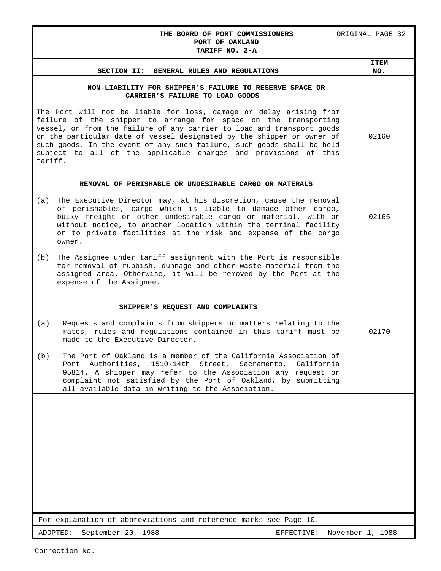### THE BOARD OF PORT COMMISSIONERS ORIGINAL PAGE 32 **PORT OF OAKLAND TARIFF NO. 2-A**

|         | GENERAL RULES AND REGULATIONS<br><b>SECTION II:</b>                                                                                                                                                                                                                                                                                                                                                                                    | <b>ITEM</b><br>NO. |
|---------|----------------------------------------------------------------------------------------------------------------------------------------------------------------------------------------------------------------------------------------------------------------------------------------------------------------------------------------------------------------------------------------------------------------------------------------|--------------------|
|         | NON-LIABILITY FOR SHIPPER'S FAILURE TO RESERVE SPACE OR<br>CARRIER'S FAILURE TO LOAD GOODS                                                                                                                                                                                                                                                                                                                                             |                    |
| tariff. | The Port will not be liable for loss, damage or delay arising from<br>failure of the shipper to arrange for space on the transporting<br>vessel, or from the failure of any carrier to load and transport goods<br>on the particular date of vessel designated by the shipper or owner of<br>such goods. In the event of any such failure, such goods shall be held<br>subject to all of the applicable charges and provisions of this | 02160              |
|         | REMOVAL OF PERISHABLE OR UNDESIRABLE CARGO OR MATERALS                                                                                                                                                                                                                                                                                                                                                                                 |                    |
| (a)     | The Executive Director may, at his discretion, cause the removal<br>of perishables, cargo which is liable to damage other cargo,<br>bulky freight or other undesirable cargo or material, with or<br>without notice, to another location within the terminal facility<br>or to private facilities at the risk and expense of the cargo<br>owner.                                                                                       | 02165              |
| (b)     | The Assignee under tariff assignment with the Port is responsible<br>for removal of rubbish, dunnage and other waste material from the<br>assigned area. Otherwise, it will be removed by the Port at the<br>expense of the Assignee.                                                                                                                                                                                                  |                    |
|         | SHIPPER'S REQUEST AND COMPLAINTS                                                                                                                                                                                                                                                                                                                                                                                                       |                    |
| (a)     | Requests and complaints from shippers on matters relating to the<br>rates, rules and regulations contained in this tariff must be<br>made to the Executive Director.                                                                                                                                                                                                                                                                   | 02170              |
| (b)     | The Port of Oakland is a member of the California Association of<br>Port Authorities, 1510-14th Street, Sacramento,<br>California<br>95814. A shipper may refer to the Association any request or<br>complaint not satisfied by the Port of Oakland, by submitting<br>all available data in writing to the Association.                                                                                                                |                    |
|         |                                                                                                                                                                                                                                                                                                                                                                                                                                        |                    |
|         | For explanation of abbreviations and reference marks see Page 10.                                                                                                                                                                                                                                                                                                                                                                      |                    |
|         | ADOPTED:<br>September 20, 1988<br>EFFECTIVE:                                                                                                                                                                                                                                                                                                                                                                                           | November 1, 1988   |

Correction No.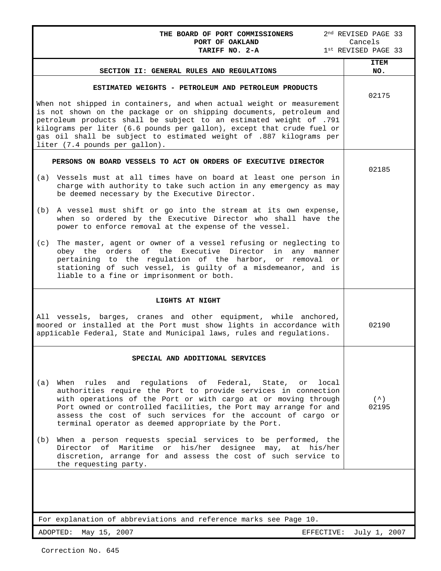| THE BOARD OF PORT COMMISSIONERS                                                                                                                                                                                                                                                                                                                                                                      | 2 <sup>nd</sup> REVISED PAGE 33 |
|------------------------------------------------------------------------------------------------------------------------------------------------------------------------------------------------------------------------------------------------------------------------------------------------------------------------------------------------------------------------------------------------------|---------------------------------|
| PORT OF OAKLAND<br>TARIFF NO. 2-A                                                                                                                                                                                                                                                                                                                                                                    | Cancels<br>1st REVISED PAGE 33  |
| SECTION II: GENERAL RULES AND REGULATIONS                                                                                                                                                                                                                                                                                                                                                            | <b>ITEM</b><br>NO.              |
|                                                                                                                                                                                                                                                                                                                                                                                                      |                                 |
| ESTIMATED WEIGHTS - PETROLEUM AND PETROLEUM PRODUCTS                                                                                                                                                                                                                                                                                                                                                 | 02175                           |
| When not shipped in containers, and when actual weight or measurement<br>is not shown on the package or on shipping documents, petroleum and<br>petroleum products shall be subject to an estimated weight of .791<br>kilograms per liter (6.6 pounds per gallon), except that crude fuel or<br>gas oil shall be subject to estimated weight of .887 kilograms per<br>liter (7.4 pounds per gallon). |                                 |
| PERSONS ON BOARD VESSELS TO ACT ON ORDERS OF EXECUTIVE DIRECTOR                                                                                                                                                                                                                                                                                                                                      | 02185                           |
| (a) Vessels must at all times have on board at least one person in<br>charge with authority to take such action in any emergency as may<br>be deemed necessary by the Executive Director.                                                                                                                                                                                                            |                                 |
| A vessel must shift or go into the stream at its own expense,<br>(b)<br>when so ordered by the Executive Director who shall have the<br>power to enforce removal at the expense of the vessel.                                                                                                                                                                                                       |                                 |
| The master, agent or owner of a vessel refusing or neglecting to<br>(c)<br>obey the orders of the Executive Director in any manner<br>pertaining to the regulation of the harbor, or removal or<br>stationing of such vessel, is guilty of a misdemeanor, and is<br>liable to a fine or imprisonment or both.                                                                                        |                                 |
| LIGHTS AT NIGHT                                                                                                                                                                                                                                                                                                                                                                                      |                                 |
| All vessels, barges, cranes and other equipment, while anchored,<br>moored or installed at the Port must show lights in accordance with<br>applicable Federal, State and Municipal laws, rules and regulations.                                                                                                                                                                                      | 02190                           |
| SPECIAL AND ADDITIONAL SERVICES                                                                                                                                                                                                                                                                                                                                                                      |                                 |
| When<br>rules and regulations of Federal, State, or<br>(a)<br>local<br>authorities require the Port to provide services in connection<br>with operations of the Port or with cargo at or moving through<br>Port owned or controlled facilities, the Port may arrange for and<br>assess the cost of such services for the account of cargo or<br>terminal operator as deemed appropriate by the Port. | $($ $\hat{\ })$<br>02195        |
| When a person requests special services to be performed, the<br>(b)<br>Director of Maritime or his/her designee may, at his/her<br>discretion, arrange for and assess the cost of such service to<br>the requesting party.                                                                                                                                                                           |                                 |
| For explanation of abbreviations and reference marks see Page 10.                                                                                                                                                                                                                                                                                                                                    |                                 |

ADOPTED: May 15, 2007 CHANGE CONSTRUCTION: THE SEFECTIVE: July 1, 2007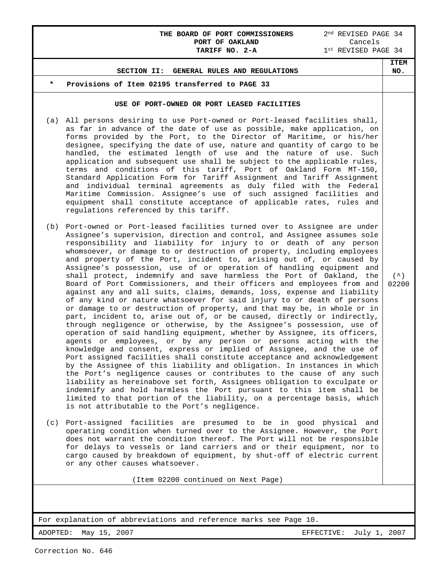## **THE BOARD OF PORT COMMISSIONERS** 2<sup>nd</sup> REVISED PAGE 34<br>**PORT OF OAKLAND** Cancels **PORT OF OAKLAND<br>TARIFF NO. 2-A**

 $1^{\text{st}}$  REVISED PAGE 34

**ITEM NO.**

### **SECTION II: GENERAL RULES AND REGULATIONS**

### Provisions of Item 02195 transferred to PAGE 33

### **USE OF PORT-OWNED OR PORT LEASED FACILITIES**

- (a) All persons desiring to use Port-owned or Port-leased facilities shall, as far in advance of the date of use as possible, make application, on forms provided by the Port, to the Director of Maritime, or his/her designee, specifying the date of use, nature and quantity of cargo to be handled, the estimated length of use and the nature of use. Such application and subsequent use shall be subject to the applicable rules, terms and conditions of this tariff, Port of Oakland Form MT-150, Standard Application Form for Tariff Assignment and Tariff Assignment and individual terminal agreements as duly filed with the Federal Maritime Commission. Assignee's use of such assigned facilities and equipment shall constitute acceptance of applicable rates, rules and regulations referenced by this tariff.
- (b) Port-owned or Port-leased facilities turned over to Assignee are under Assignee's supervision, direction and control, and Assignee assumes sole responsibility and liability for injury to or death of any person whomsoever, or damage to or destruction of property, including employees and property of the Port, incident to, arising out of, or caused by Assignee's possession, use of or operation of handling equipment and shall protect, indemnify and save harmless the Port of Oakland, the Board of Port Commissioners, and their officers and employees from and against any and all suits, claims, demands, loss, expense and liability of any kind or nature whatsoever for said injury to or death of persons or damage to or destruction of property, and that may be, in whole or in part, incident to, arise out of, or be caused, directly or indirectly, through negligence or otherwise, by the Assignee's possession, use of operation of said handling equipment, whether by Assignee, its officers, agents or employees, or by any person or persons acting with the knowledge and consent, express or implied of Assignee, and the use of Port assigned facilities shall constitute acceptance and acknowledgement by the Assignee of this liability and obligation. In instances in which the Port's negligence causes or contributes to the cause of any such liability as hereinabove set forth, Assignees obligation to exculpate or indemnify and hold harmless the Port pursuant to this item shall be limited to that portion of the liability, on a percentage basis, which is not attributable to the Port's negligence.
- (c) Port-assigned facilities are presumed to be in good physical and operating condition when turned over to the Assignee. However, the Port does not warrant the condition thereof. The Port will not be responsible for delays to vessels or land carriers and or their equipment, nor to cargo caused by breakdown of equipment, by shut-off of electric current or any other causes whatsoever.

(Item 02200 continued on Next Page)

For explanation of abbreviations and reference marks see Page 10.

 $($   $\wedge$   $)$ 02200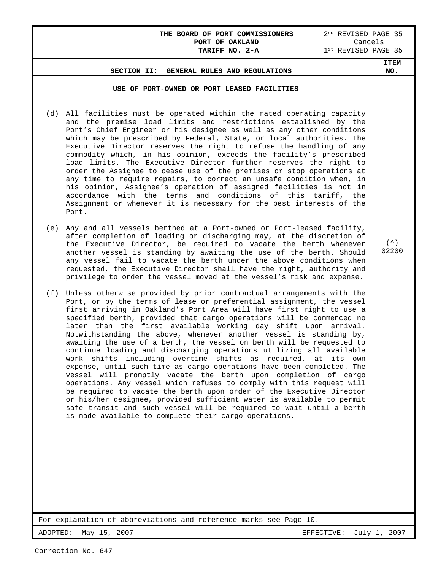## **THE BOARD OF PORT COMMISSIONERS** 2<sup>nd</sup> REVISED PAGE 35<br>**PORT OF OAKLAND** Cancels **PORT OF OAKLAND<br>TARIFF NO. 2-A**  $1^{\text{st}}$  REVISED PAGE 35 **SECTION II: GENERAL RULES AND REGULATIONS ITEM NO. USE OF PORT-OWNED OR PORT LEASED FACILITIES** (d) All facilities must be operated within the rated operating capacity and the premise load limits and restrictions established by the Port's Chief Engineer or his designee as well as any other conditions which may be prescribed by Federal, State, or local authorities. The Executive Director reserves the right to refuse the handling of any commodity which, in his opinion, exceeds the facility's prescribed load limits. The Executive Director further reserves the right to order the Assignee to cease use of the premises or stop operations at any time to require repairs, to correct an unsafe condition when, in his opinion, Assignee's operation of assigned facilities is not in accordance with the terms and conditions of this tariff, the

(e) Any and all vessels berthed at a Port-owned or Port-leased facility, after completion of loading or discharging may, at the discretion of the Executive Director, be required to vacate the berth whenever another vessel is standing by awaiting the use of the berth. Should any vessel fail to vacate the berth under the above conditions when requested, the Executive Director shall have the right, authority and privilege to order the vessel moved at the vessel's risk and expense.

Assignment or whenever it is necessary for the best interests of the

(f) Unless otherwise provided by prior contractual arrangements with the Port, or by the terms of lease or preferential assignment, the vessel first arriving in Oakland's Port Area will have first right to use a specified berth, provided that cargo operations will be commenced no later than the first available working day shift upon arrival. Notwithstanding the above, whenever another vessel is standing by, awaiting the use of a berth, the vessel on berth will be requested to continue loading and discharging operations utilizing all available work shifts including overtime shifts as required, at its own expense, until such time as cargo operations have been completed. The vessel will promptly vacate the berth upon completion of cargo operations. Any vessel which refuses to comply with this request will be required to vacate the berth upon order of the Executive Director or his/her designee, provided sufficient water is available to permit safe transit and such vessel will be required to wait until a berth is made available to complete their cargo operations.

For explanation of abbreviations and reference marks see Page 10.

ADOPTED: May 15, 2007 EFFECTIVE: July 1, 2007

 $(^{\sim})$ 02200

Port.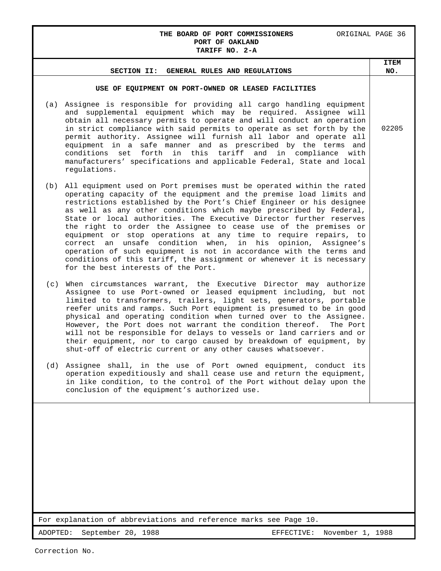## **THE BOARD OF PORT COMMISSIONERS** ORIGINAL PAGE 36 **PORT OF OAKLAND TARIFF NO. 2-A**

| SECTION II: GENERAL RULES AND REGULATIONS                                                                                                                                                                                                                                                                                                                                                                                                                                                                                                                                                                                                                                                                                                                                    | <b>ITEM</b><br>NO. |
|------------------------------------------------------------------------------------------------------------------------------------------------------------------------------------------------------------------------------------------------------------------------------------------------------------------------------------------------------------------------------------------------------------------------------------------------------------------------------------------------------------------------------------------------------------------------------------------------------------------------------------------------------------------------------------------------------------------------------------------------------------------------------|--------------------|
| USE OF EQUIPMENT ON PORT-OWNED OR LEASED FACILITIES                                                                                                                                                                                                                                                                                                                                                                                                                                                                                                                                                                                                                                                                                                                          |                    |
| Assignee is responsible for providing all cargo handling equipment<br>(a)<br>and supplemental equipment which may be required. Assignee will<br>obtain all necessary permits to operate and will conduct an operation<br>in strict compliance with said permits to operate as set forth by the<br>permit authority. Assignee will furnish all labor and operate all<br>equipment in a safe manner and as prescribed by the terms and<br>conditions set forth in this tariff and in compliance with<br>manufacturers' specifications and applicable Federal, State and local<br>regulations.                                                                                                                                                                                  | 02205              |
| All equipment used on Port premises must be operated within the rated<br>(b)<br>operating capacity of the equipment and the premise load limits and<br>restrictions established by the Port's Chief Engineer or his designee<br>as well as any other conditions which maybe prescribed by Federal,<br>State or local authorities. The Executive Director further reserves<br>the right to order the Assignee to cease use of the premises or<br>equipment or stop operations at any time to require repairs, to<br>correct an unsafe condition when,<br>in his<br>opinion, Assignee's<br>operation of such equipment is not in accordance with the terms and<br>conditions of this tariff, the assignment or whenever it is necessary<br>for the best interests of the Port. |                    |
| When circumstances warrant, the Executive Director may authorize<br>(c)<br>Assignee to use Port-owned or leased equipment including, but not<br>limited to transformers, trailers, light sets, generators, portable<br>reefer units and ramps. Such Port equipment is presumed to be in good<br>physical and operating condition when turned over to the Assignee.<br>However, the Port does not warrant the condition thereof.<br>The Port<br>will not be responsible for delays to vessels or land carriers and or<br>their equipment, nor to cargo caused by breakdown of equipment, by<br>shut-off of electric current or any other causes whatsoever.                                                                                                                   |                    |
| Assignee shall, in the use of Port owned equipment, conduct its<br>(d)<br>operation expeditiously and shall cease use and return the equipment,<br>in like condition, to the control of the Port without delay upon the<br>conclusion of the equipment's authorized use.                                                                                                                                                                                                                                                                                                                                                                                                                                                                                                     |                    |
|                                                                                                                                                                                                                                                                                                                                                                                                                                                                                                                                                                                                                                                                                                                                                                              |                    |
| For explanation of abbreviations and reference marks see Page 10.                                                                                                                                                                                                                                                                                                                                                                                                                                                                                                                                                                                                                                                                                                            |                    |
| ADOPTED:<br>September 20, 1988<br>November 1, 1988<br>EFFECTIVE:                                                                                                                                                                                                                                                                                                                                                                                                                                                                                                                                                                                                                                                                                                             |                    |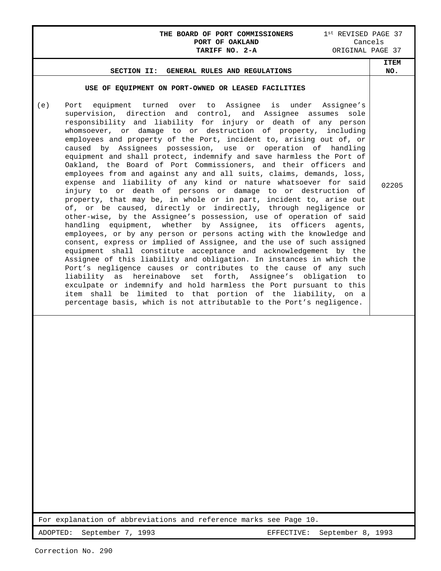# **THE BOARD OF PORT COMMISSIONERS** 1<sup>st</sup> REVISED PAGE 37

|                                                                                                                                                                                                                                                                                                                                                                                                                                                                                                                                                                                                                                                                                                                                                                                                                                                                                                                                                                                                                                                                                                                                                                                                                                         | PORT OF OAKLAND<br>TARIFF NO. 2-A |                                                | Cancels<br>ORIGINAL PAGE 37 |
|-----------------------------------------------------------------------------------------------------------------------------------------------------------------------------------------------------------------------------------------------------------------------------------------------------------------------------------------------------------------------------------------------------------------------------------------------------------------------------------------------------------------------------------------------------------------------------------------------------------------------------------------------------------------------------------------------------------------------------------------------------------------------------------------------------------------------------------------------------------------------------------------------------------------------------------------------------------------------------------------------------------------------------------------------------------------------------------------------------------------------------------------------------------------------------------------------------------------------------------------|-----------------------------------|------------------------------------------------|-----------------------------|
| SECTION II:                                                                                                                                                                                                                                                                                                                                                                                                                                                                                                                                                                                                                                                                                                                                                                                                                                                                                                                                                                                                                                                                                                                                                                                                                             | GENERAL RULES AND REGULATIONS     |                                                | <b>ITEM</b><br>NO.          |
| USE OF EQUIPMENT ON PORT-OWNED OR LEASED FACILITIES<br>Port equipment turned over to Assignee is under Assignee's<br>(e)<br>supervision, direction and control, and Assignee assumes<br>responsibility and liability for injury or death of any person<br>whomsoever, or damage to or destruction of property, including<br>employees and property of the Port, incident to, arising out of, or<br>caused by Assignees possession, use or operation of handling                                                                                                                                                                                                                                                                                                                                                                                                                                                                                                                                                                                                                                                                                                                                                                         |                                   | sole                                           |                             |
| equipment and shall protect, indemnify and save harmless the Port of<br>Oakland, the Board of Port Commissioners, and their officers and<br>employees from and against any and all suits, claims, demands, loss,<br>expense and liability of any kind or nature whatsoever for said<br>injury to or death of persons or damage to or destruction of<br>property, that may be, in whole or in part, incident to, arise out<br>of, or be caused, directly or indirectly, through negligence or<br>other-wise, by the Assignee's possession, use of operation of said<br>handling equipment, whether by Assignee, its officers<br>employees, or by any person or persons acting with the knowledge and<br>consent, express or implied of Assignee, and the use of such assigned<br>equipment shall constitute acceptance and acknowledgement by the<br>Assignee of this liability and obligation. In instances in which the<br>Port's negligence causes or contributes to the cause of any such<br>liability as hereinabove<br>exculpate or indemnify and hold harmless the Port pursuant to this<br>item shall be limited to that portion of the liability, on a<br>percentage basis, which is not attributable to the Port's negligence. |                                   | agents,<br>set forth, Assignee's obligation to | 02205                       |
|                                                                                                                                                                                                                                                                                                                                                                                                                                                                                                                                                                                                                                                                                                                                                                                                                                                                                                                                                                                                                                                                                                                                                                                                                                         |                                   |                                                |                             |
| For explanation of abbreviations and reference marks see Page 10.                                                                                                                                                                                                                                                                                                                                                                                                                                                                                                                                                                                                                                                                                                                                                                                                                                                                                                                                                                                                                                                                                                                                                                       |                                   |                                                |                             |
| September 7, 1993<br>ADOPTED:                                                                                                                                                                                                                                                                                                                                                                                                                                                                                                                                                                                                                                                                                                                                                                                                                                                                                                                                                                                                                                                                                                                                                                                                           |                                   | September 8, 1993<br>EFFECTIVE:                |                             |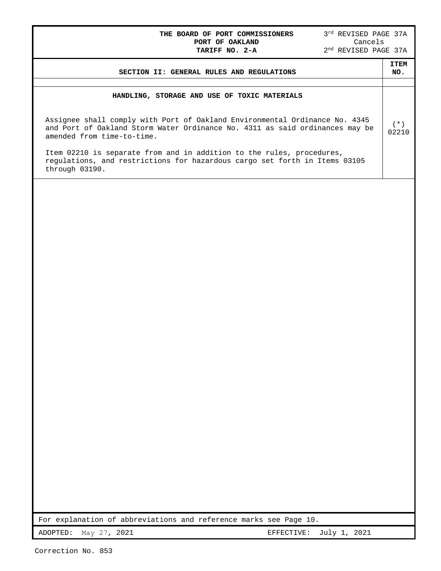## **THE BOARD OF PORT COMMISSIONERS** 3<sup>rd</sup> REVISED PAGE 37A **PORT OF OAKLAND** Cancels **PORT OF OAKLAND** Cancels **TARIFF NO. 2-A** 2nd REVISED PAGE 37A

| SECTION II: GENERAL RULES AND REGULATIONS                                                                                                                                                 | <b>TTEM</b><br>NO. |
|-------------------------------------------------------------------------------------------------------------------------------------------------------------------------------------------|--------------------|
|                                                                                                                                                                                           |                    |
| HANDLING, STORAGE AND USE OF TOXIC MATERIALS                                                                                                                                              |                    |
| Assignee shall comply with Port of Oakland Environmental Ordinance No. 4345<br>and Port of Oakland Storm Water Ordinance No. 4311 as said ordinances may be<br>amended from time-to-time. | (*)<br>02210       |
| Item 02210 is separate from and in addition to the rules, procedures,<br>regulations, and restrictions for hazardous cargo set forth in Items 03105<br>through 03190.                     |                    |

For explanation of abbreviations and reference marks see Page 10.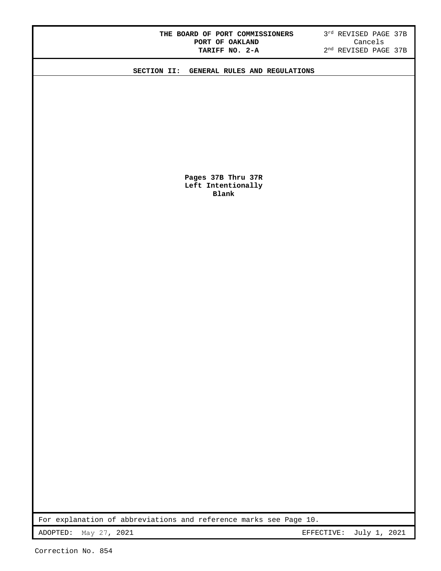| THE BOARD OF PORT COMMISSIONERS |  |  |                 |  |  |
|---------------------------------|--|--|-----------------|--|--|
|                                 |  |  | PORT OF OAKLAND |  |  |
|                                 |  |  | TARIFF NO. 2-A  |  |  |

 $3^{rd}$  REVISED PAGE 37B Cancels 2<sup>nd</sup> REVISED PAGE 37B

**SECTION II: GENERAL RULES AND REGULATIONS** 

**Pages 37B Thru 37R Left Intentionally Blank** 

For explanation of abbreviations and reference marks see Page 10.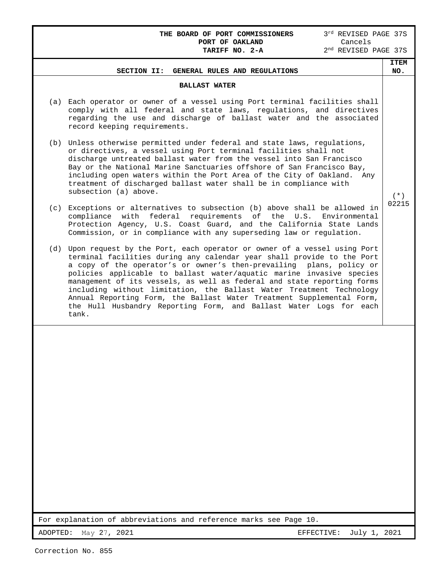| 3rd REVISED PAGE 37S<br>THE BOARD OF PORT COMMISSIONERS<br>Cancels<br>PORT OF OAKLAND<br>2 <sup>nd</sup> REVISED PAGE 37S<br>TARIFF NO. 2-A                                                                                                                                                                                                                              |                    |
|--------------------------------------------------------------------------------------------------------------------------------------------------------------------------------------------------------------------------------------------------------------------------------------------------------------------------------------------------------------------------|--------------------|
| SECTION II: GENERAL RULES AND REGULATIONS                                                                                                                                                                                                                                                                                                                                | <b>ITEM</b><br>NO. |
| <b>BALLAST WATER</b>                                                                                                                                                                                                                                                                                                                                                     |                    |
| Each operator or owner of a vessel using Port terminal facilities shall<br>(a)<br>comply with all federal and state laws, regulations, and directives<br>regarding the use and discharge of ballast water and the associated<br>record keeping requirements.                                                                                                             |                    |
| (b) Unless otherwise permitted under federal and state laws, regulations,<br>or directives, a vessel using Port terminal facilities shall not<br>discharge untreated ballast water from the vessel into San Francisco<br>Bay or the National Marine Sanctuaries offshore of San Francisco Bay,<br>including open waters within the Port Area of the City of Oakland. Any |                    |

 $(* )$ 02215

(c) Exceptions or alternatives to subsection (b) above shall be allowed in compliance with federal requirements of the U.S. Environmental Protection Agency, U.S. Coast Guard, and the California State Lands Commission, or in compliance with any superseding law or regulation.

treatment of discharged ballast water shall be in compliance with

(d) Upon request by the Port, each operator or owner of a vessel using Port terminal facilities during any calendar year shall provide to the Port a copy of the operator's or owner's then-prevailing plans, policy or policies applicable to ballast water/aquatic marine invasive species management of its vessels, as well as federal and state reporting forms including without limitation, the Ballast Water Treatment Technology Annual Reporting Form, the Ballast Water Treatment Supplemental Form, the Hull Husbandry Reporting Form, and Ballast Water Logs for each tank.

For explanation of abbreviations and reference marks see Page 10.

subsection (a) above.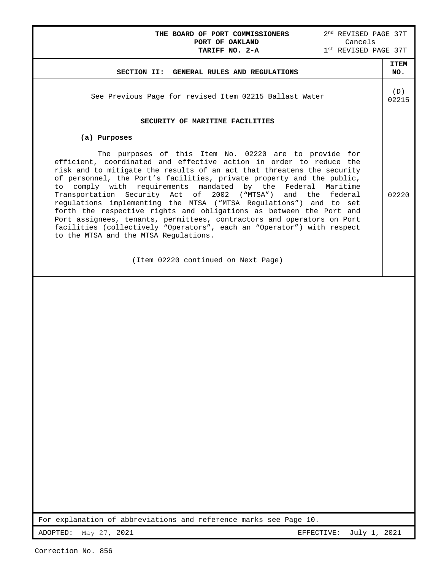## **THE BOARD OF PORT COMMISSIONERS** 2<sup>nd</sup> REVISED PAGE 37T<br>**PORT OF OAKLAND** Cancels **PORT OF OAKLAND<br>TARIFF NO. 2-A**

 $1^{\text{st}}$  REVISED PAGE 37T **SECTION II: GENERAL RULES AND REGULATIONS ITEM NO.**  See Previous Page for revised Item 02215 Ballast Water (D) 02215 **SECURITY OF MARITIME FACILITIES (a) Purposes** The purposes of this Item No. 02220 are to provide for efficient, coordinated and effective action in order to reduce the risk and to mitigate the results of an act that threatens the security of personnel, the Port's facilities, private property and the public, to comply with requirements mandated by the Federal Maritime Transportation Security Act of 2002 ("MTSA") and the federal regulations implementing the MTSA ("MTSA Regulations") and to set forth the respective rights and obligations as between the Port and Port assignees, tenants, permittees, contractors and operators on Port facilities (collectively "Operators", each an "Operator") with respect to the MTSA and the MTSA Regulations. (Item 02220 continued on Next Page) 02220

For explanation of abbreviations and reference marks see Page 10.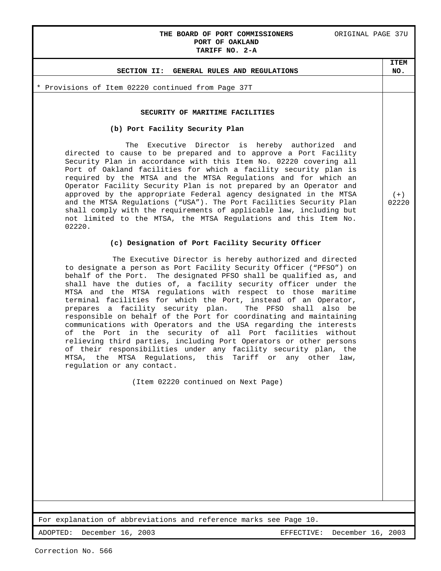## **THE BOARD OF PORT COMMISSIONERS ORIGINAL PAGE 37U PORT OF OAKLAND**

**ITEM NO.**

 $(+)$ 02220

# **TARIFF NO. 2-A**

### **SECTION II: GENERAL RULES AND REGULATIONS**

\* Provisions of Item 02220 continued from Page 37T

### **SECURITY OF MARITIME FACILITIES**

### **(b) Port Facility Security Plan**

 The Executive Director is hereby authorized and directed to cause to be prepared and to approve a Port Facility Security Plan in accordance with this Item No. 02220 covering all Port of Oakland facilities for which a facility security plan is required by the MTSA and the MTSA Regulations and for which an Operator Facility Security Plan is not prepared by an Operator and approved by the appropriate Federal agency designated in the MTSA and the MTSA Regulations ("USA"). The Port Facilities Security Plan shall comply with the requirements of applicable law, including but not limited to the MTSA, the MTSA Regulations and this Item No. 02220.

### **(c) Designation of Port Facility Security Officer**

 The Executive Director is hereby authorized and directed to designate a person as Port Facility Security Officer ("PFSO") on behalf of the Port. The designated PFSO shall be qualified as, and shall have the duties of, a facility security officer under the MTSA and the MTSA regulations with respect to those maritime terminal facilities for which the Port, instead of an Operator,<br>prepares a facility security plan. The PFSO shall also be prepares a facility security plan. responsible on behalf of the Port for coordinating and maintaining communications with Operators and the USA regarding the interests of the Port in the security of all Port facilities without relieving third parties, including Port Operators or other persons of their responsibilities under any facility security plan, the MTSA, the MTSA Regulations, this Tariff or any other law, regulation or any contact.

(Item 02220 continued on Next Page)

For explanation of abbreviations and reference marks see Page 10.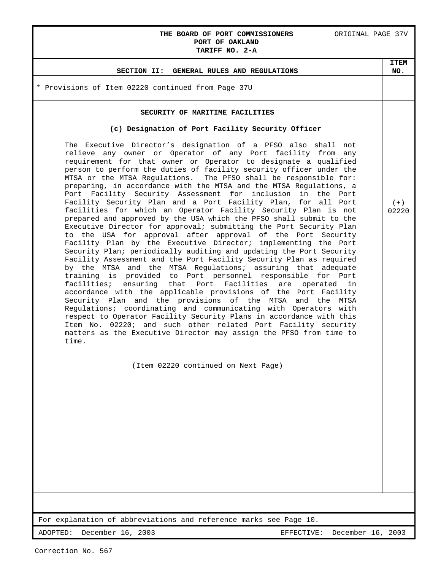## THE BOARD OF PORT COMMISSIONERS ORIGINAL PAGE 37V **PORT OF OAKLAND**

**ITEM NO.**

 $(+)$ 02220

**TARIFF NO. 2-A**

### **SECTION II: GENERAL RULES AND REGULATIONS**

\* Provisions of Item 02220 continued from Page 37U

### **SECURITY OF MARITIME FACILITIES**

### **(c) Designation of Port Facility Security Officer**

The Executive Director's designation of a PFSO also shall not relieve any owner or Operator of any Port facility from any requirement for that owner or Operator to designate a qualified person to perform the duties of facility security officer under the MTSA or the MTSA Regulations. The PFSO shall be responsible for: preparing, in accordance with the MTSA and the MTSA Regulations, a Port Facility Security Assessment for inclusion in the Port Facility Security Plan and a Port Facility Plan, for all Port facilities for which an Operator Facility Security Plan is not prepared and approved by the USA which the PFSO shall submit to the Executive Director for approval; submitting the Port Security Plan to the USA for approval after approval of the Port Security Facility Plan by the Executive Director; implementing the Port Security Plan; periodically auditing and updating the Port Security Facility Assessment and the Port Facility Security Plan as required by the MTSA and the MTSA Regulations; assuring that adequate training is provided to Port personnel responsible for Port facilities; ensuring that Port Facilities are operated in accordance with the applicable provisions of the Port Facility Security Plan and the provisions of the MTSA and the MTSA Regulations; coordinating and communicating with Operators with respect to Operator Facility Security Plans in accordance with this Item No. 02220; and such other related Port Facility security matters as the Executive Director may assign the PFSO from time to time.

(Item 02220 continued on Next Page)

For explanation of abbreviations and reference marks see Page 10.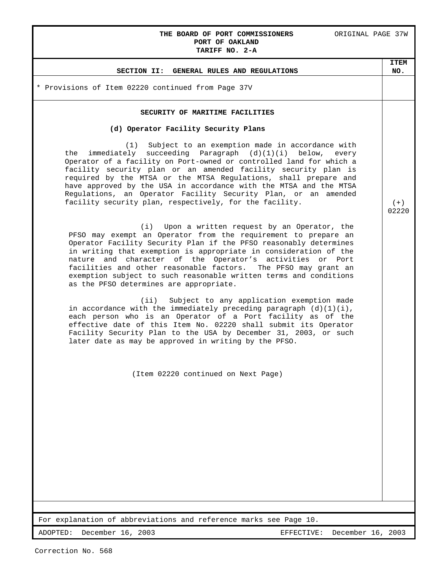## **THE BOARD OF PORT COMMISSIONERS** ORIGINAL PAGE 37W **PORT OF OAKLAND**

**ITEM NO.**

 $(+)$ 02220

# **TARIFF NO. 2-A SECTION II: GENERAL RULES AND REGULATIONS** \* Provisions of Item 02220 continued from Page 37V

### **SECURITY OF MARITIME FACILITIES**

### **(d) Operator Facility Security Plans**

 (1) Subject to an exemption made in accordance with the immediately succeeding Paragraph  $(d)(1)(i)$  below, every Operator of a facility on Port-owned or controlled land for which a facility security plan or an amended facility security plan is required by the MTSA or the MTSA Regulations, shall prepare and have approved by the USA in accordance with the MTSA and the MTSA Regulations, an Operator Facility Security Plan, or an amended facility security plan, respectively, for the facility.

 (i) Upon a written request by an Operator, the PFSO may exempt an Operator from the requirement to prepare an Operator Facility Security Plan if the PFSO reasonably determines in writing that exemption is appropriate in consideration of the nature and character of the Operator's activities or Port facilities and other reasonable factors. The PFSO may grant an exemption subject to such reasonable written terms and conditions as the PFSO determines are appropriate.

 (ii) Subject to any application exemption made in accordance with the immediately preceding paragraph  $(d)(1)(i)$ , each person who is an Operator of a Port facility as of the effective date of this Item No. 02220 shall submit its Operator Facility Security Plan to the USA by December 31, 2003, or such later date as may be approved in writing by the PFSO.

(Item 02220 continued on Next Page)

For explanation of abbreviations and reference marks see Page 10.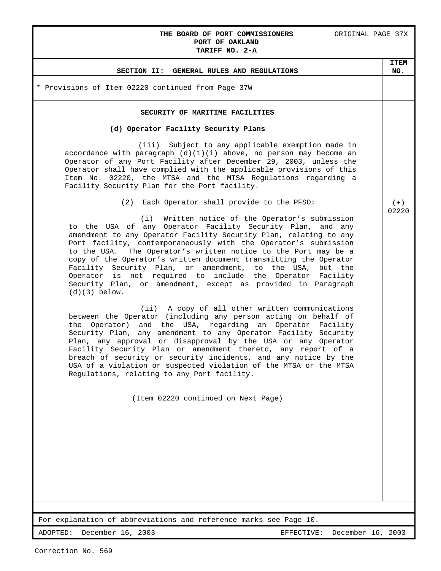## **THE BOARD OF PORT COMMISSIONERS** ORIGINAL PAGE 37X **PORT OF OAKLAND**

# **TARIFF NO. 2-A SECTION II: GENERAL RULES AND REGULATIONS ITEM NO.** \* Provisions of Item 02220 continued from Page 37W **SECURITY OF MARITIME FACILITIES (d) Operator Facility Security Plans** (iii) Subject to any applicable exemption made in accordance with paragraph  $(d)(1)(i)$  above, no person may become an Operator of any Port Facility after December 29, 2003, unless the Operator shall have complied with the applicable provisions of this Item No. 02220, the MTSA and the MTSA Regulations regarding a Facility Security Plan for the Port facility. (2) Each Operator shall provide to the PFSO: (i) Written notice of the Operator's submission to the USA of any Operator Facility Security Plan, and any amendment to any Operator Facility Security Plan, relating to any Port facility, contemporaneously with the Operator's submission to the USA. The Operator's written notice to the Port may be a copy of the Operator's written document transmitting the Operator Facility Security Plan, or amendment, to the USA, but the Operator is not required to include the Operator Facility Security Plan, or amendment, except as provided in Paragraph (d)(3) below. (ii) A copy of all other written communications between the Operator (including any person acting on behalf of the Operator) and the USA, regarding an Operator Facility Security Plan, any amendment to any Operator Facility Security Plan, any approval or disapproval by the USA or any Operator Facility Security Plan or amendment thereto, any report of a breach of security or security incidents, and any notice by the USA of a violation or suspected violation of the MTSA or the MTSA Regulations, relating to any Port facility. (Item 02220 continued on Next Page)  $(+)$ 02220

For explanation of abbreviations and reference marks see Page 10.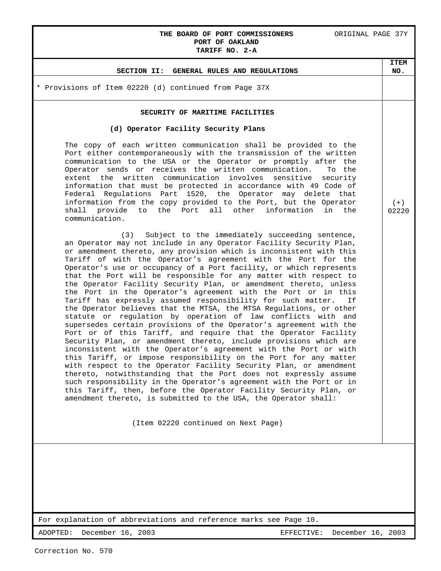### **THE BOARD OF PORT COMMISSIONERS** ORIGINAL PAGE 37Y **PORT OF OAKLAND TARIFF NO. 2-A**

**ITEM NO.**

 $(+)$ 02220

## **SECTION II: GENERAL RULES AND REGULATIONS**

\* Provisions of Item 02220 (d) continued from Page 37X

### **SECURITY OF MARITIME FACILITIES**

### **(d) Operator Facility Security Plans**

The copy of each written communication shall be provided to the Port either contemporaneously with the transmission of the written communication to the USA or the Operator or promptly after the Operator sends or receives the written communication. To the extent the written communication involves sensitive security information that must be protected in accordance with 49 Code of Federal Regulations Part 1520, the Operator may delete that information from the copy provided to the Port, but the Operator shall provide to the Port all other information in the communication.

 (3) Subject to the immediately succeeding sentence, an Operator may not include in any Operator Facility Security Plan, or amendment thereto, any provision which is inconsistent with this Tariff of with the Operator's agreement with the Port for the Operator's use or occupancy of a Port facility, or which represents that the Port will be responsible for any matter with respect to the Operator Facility Security Plan, or amendment thereto, unless the Port in the Operator's agreement with the Port or in this Tariff has expressly assumed responsibility for such matter. If the Operator believes that the MTSA, the MTSA Regulations, or other statute or regulation by operation of law conflicts with and supersedes certain provisions of the Operator's agreement with the Port or of this Tariff, and require that the Operator Facility Security Plan, or amendment thereto, include provisions which are inconsistent with the Operator's agreement with the Port or with this Tariff, or impose responsibility on the Port for any matter with respect to the Operator Facility Security Plan, or amendment thereto, notwithstanding that the Port does not expressly assume such responsibility in the Operator's agreement with the Port or in this Tariff, then, before the Operator Facility Security Plan, or amendment thereto, is submitted to the USA, the Operator shall:

(Item 02220 continued on Next Page)

For explanation of abbreviations and reference marks see Page 10.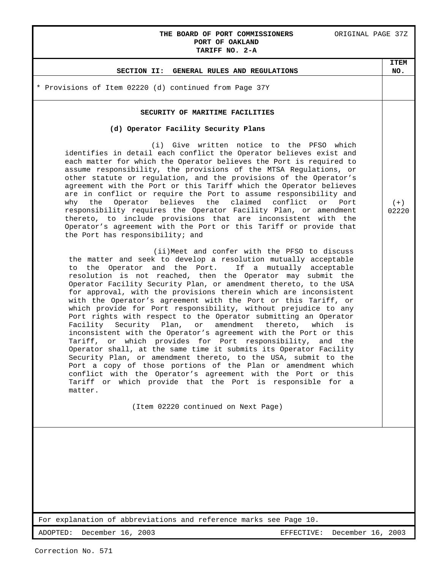## **THE BOARD OF PORT COMMISSIONERS** ORIGINAL PAGE 37Z **PORT OF OAKLAND**

**ITEM NO.**

 $(+)$ 02220

## **TARIFF NO. 2-A**

### **SECTION II: GENERAL RULES AND REGULATIONS**

\* Provisions of Item 02220 (d) continued from Page 37Y

### **SECURITY OF MARITIME FACILITIES**

### **(d) Operator Facility Security Plans**

 (i) Give written notice to the PFSO which identifies in detail each conflict the Operator believes exist and each matter for which the Operator believes the Port is required to assume responsibility, the provisions of the MTSA Regulations, or other statute or regulation, and the provisions of the Operator's agreement with the Port or this Tariff which the Operator believes are in conflict or require the Port to assume responsibility and<br>why the Operator believes the claimed conflict or Port the Operator believes the claimed conflict or Port responsibility requires the Operator Facility Plan, or amendment thereto, to include provisions that are inconsistent with the Operator's agreement with the Port or this Tariff or provide that the Port has responsibility; and

 (ii)Meet and confer with the PFSO to discuss the matter and seek to develop a resolution mutually acceptable to the Operator and the Port. If a mutually acceptable resolution is not reached, then the Operator may submit the Operator Facility Security Plan, or amendment thereto, to the USA for approval, with the provisions therein which are inconsistent with the Operator's agreement with the Port or this Tariff, or which provide for Port responsibility, without prejudice to any Port rights with respect to the Operator submitting an Operator<br>Facility Security Plan, or amendment thereto, which is Facility Security Plan, or amendment thereto, which inconsistent with the Operator's agreement with the Port or this Tariff, or which provides for Port responsibility, and the Operator shall, at the same time it submits its Operator Facility Security Plan, or amendment thereto, to the USA, submit to the Port a copy of those portions of the Plan or amendment which conflict with the Operator's agreement with the Port or this Tariff or which provide that the Port is responsible for a matter.

(Item 02220 continued on Next Page)

For explanation of abbreviations and reference marks see Page 10.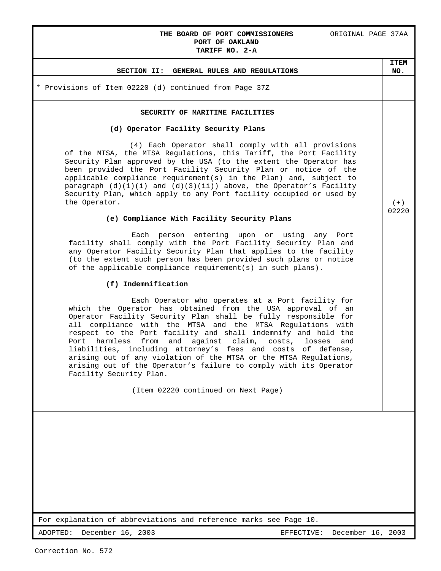## **THE BOARD OF PORT COMMISSIONERS** ORIGINAL PAGE 37AA **PORT OF OAKLAND**

## **TARIFF NO. 2-A SECTION II: GENERAL RULES AND REGULATIONS ITEM NO.** \* Provisions of Item 02220 (d) continued from Page 37Z **SECURITY OF MARITIME FACILITIES (d) Operator Facility Security Plans** (4) Each Operator shall comply with all provisions of the MTSA, the MTSA Regulations, this Tariff, the Port Facility Security Plan approved by the USA (to the extent the Operator has been provided the Port Facility Security Plan or notice of the applicable compliance requirement(s) in the Plan) and, subject to paragraph  $(d)(1)(i)$  and  $(d)(3)(ii)$  above, the Operator's Facility Security Plan, which apply to any Port facility occupied or used by the Operator. **(e) Compliance With Facility Security Plans** Each person entering upon or using any Port facility shall comply with the Port Facility Security Plan and any Operator Facility Security Plan that applies to the facility (to the extent such person has been provided such plans or notice of the applicable compliance requirement(s) in such plans). **(f) Indemnification** Each Operator who operates at a Port facility for which the Operator has obtained from the USA approval of an Operator Facility Security Plan shall be fully responsible for all compliance with the MTSA and the MTSA Regulations with respect to the Port facility and shall indemnify and hold the Port harmless from and against claim, costs, losses and liabilities, including attorney's fees and costs of defense,  $(+)$ 02220

(Item 02220 continued on Next Page)

arising out of any violation of the MTSA or the MTSA Regulations, arising out of the Operator's failure to comply with its Operator

For explanation of abbreviations and reference marks see Page 10.

Facility Security Plan.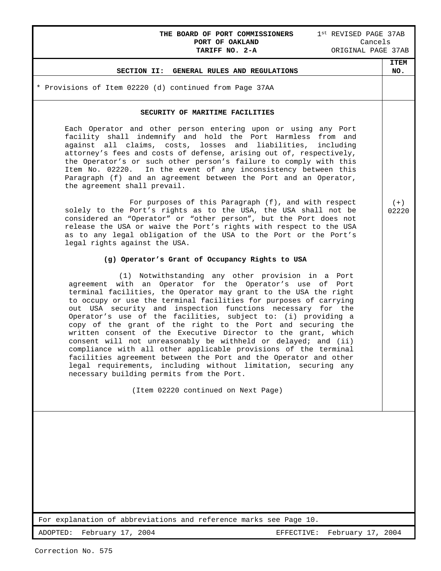## **THE BOARD OF PORT COMMISSIONERS** 1<sup>st</sup> REVISED PAGE 37AB<br>**PORT OF OAKLAND** Cancels **PORT OF OAKLAND<br>TARIFF NO. 2-A**

**TARIFF NO. 2-A** ORIGINAL PAGE 37AB

### **SECTION II: GENERAL RULES AND REGULATIONS**

\* Provisions of Item 02220 (d) continued from Page 37AA

### **SECURITY OF MARITIME FACILITIES**

Each Operator and other person entering upon or using any Port facility shall indemnify and hold the Port Harmless from and against all claims, costs, losses and liabilities, including attorney's fees and costs of defense, arising out of, respectively, the Operator's or such other person's failure to comply with this Item No. 02220. In the event of any inconsistency between this Paragraph (f) and an agreement between the Port and an Operator, the agreement shall prevail.

 For purposes of this Paragraph (f), and with respect solely to the Port's rights as to the USA, the USA shall not be considered an "Operator" or "other person", but the Port does not release the USA or waive the Port's rights with respect to the USA as to any legal obligation of the USA to the Port or the Port's legal rights against the USA.

### **(g) Operator's Grant of Occupancy Rights to USA**

 (1) Notwithstanding any other provision in a Port agreement with an Operator for the Operator's use of Port terminal facilities, the Operator may grant to the USA the right to occupy or use the terminal facilities for purposes of carrying out USA security and inspection functions necessary for the Operator's use of the facilities, subject to: (i) providing a copy of the grant of the right to the Port and securing the written consent of the Executive Director to the grant, which consent will not unreasonably be withheld or delayed; and (ii) compliance with all other applicable provisions of the terminal facilities agreement between the Port and the Operator and other legal requirements, including without limitation, securing any necessary building permits from the Port.

(Item 02220 continued on Next Page)

For explanation of abbreviations and reference marks see Page 10.

ADOPTED: February 17, 2004 **EFFECTIVE:** February 17, 2004

 $(+)$ 02220

**ITEM NO.**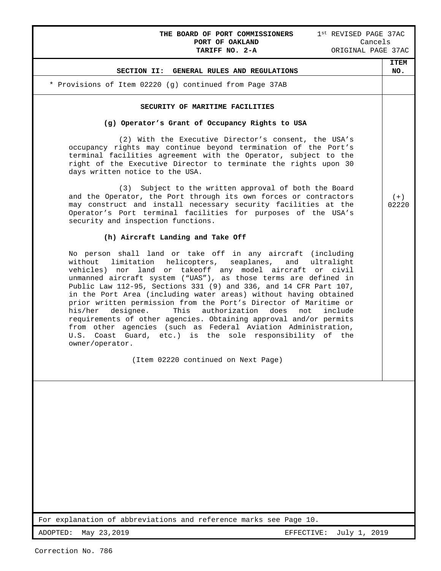# THE BOARD OF PORT COMMISSIONERS 1<sup>st</sup> REVISED PAGE 37AC<br>
PORT OF OAKLAND Cancels<br>
TARIFF NO. 2-A ORIGINAL PAGE 37AC **PORT OF OAKLAND**<br>TARIFF NO. 2-A

| <b>ITEM</b><br>NO. |
|--------------------|
|                    |
|                    |
|                    |
|                    |
| $(+)$<br>02220     |
|                    |
|                    |
|                    |
|                    |
|                    |
|                    |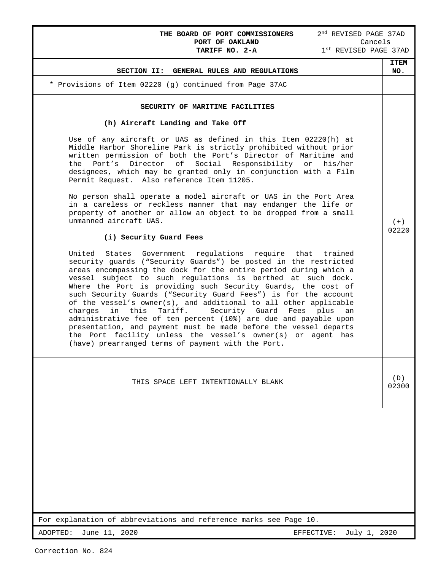| <b>ITEM</b><br>NO.<br>SECTION II: GENERAL RULES AND REGULATIONS<br>* Provisions of Item 02220 (g) continued from Page 37AC<br>SECURITY OF MARITIME FACILITIES<br>(h) Aircraft Landing and Take Off<br>Use of any aircraft or UAS as defined in this Item 02220(h) at<br>Middle Harbor Shoreline Park is strictly prohibited without prior<br>written permission of both the Port's Director of Maritime and<br>Director of<br>Port's<br>Social Responsibility or his/her<br>the<br>designees, which may be granted only in conjunction with a Film<br>Permit Request. Also reference Item 11205.<br>No person shall operate a model aircraft or UAS in the Port Area<br>in a careless or reckless manner that may endanger the life or<br>property of another or allow an object to be dropped from a small<br>unmanned aircraft UAS.<br>$(+)$<br>02220<br>(i) Security Guard Fees<br>United<br>States Government regulations require that trained<br>security guards ("Security Guards") be posted in the restricted<br>areas encompassing the dock for the entire period during which a<br>vessel subject to such regulations is berthed at such dock.<br>Where the Port is providing such Security Guards, the cost of<br>such Security Guards ("Security Guard Fees") is for the account<br>of the vessel's owner(s), and additional to all other applicable<br>in this<br>Tariff.<br>Security Guard Fees<br>charges<br>plus<br>an<br>administrative fee of ten percent (10%) are due and payable upon<br>presentation, and payment must be made before the vessel departs<br>the Port facility unless the vessel's owner(s) or agent has<br>(have) prearranged terms of payment with the Port.<br>(D)<br>THIS SPACE LEFT INTENTIONALLY BLANK<br>02300<br>For explanation of abbreviations and reference marks see Page 10. | THE BOARD OF PORT COMMISSIONERS<br>2 <sup>nd</sup> REVISED PAGE 37AD<br>Cancels<br>PORT OF OAKLAND<br>1st REVISED PAGE 37AD<br>TARIFF NO. 2-A |  |
|---------------------------------------------------------------------------------------------------------------------------------------------------------------------------------------------------------------------------------------------------------------------------------------------------------------------------------------------------------------------------------------------------------------------------------------------------------------------------------------------------------------------------------------------------------------------------------------------------------------------------------------------------------------------------------------------------------------------------------------------------------------------------------------------------------------------------------------------------------------------------------------------------------------------------------------------------------------------------------------------------------------------------------------------------------------------------------------------------------------------------------------------------------------------------------------------------------------------------------------------------------------------------------------------------------------------------------------------------------------------------------------------------------------------------------------------------------------------------------------------------------------------------------------------------------------------------------------------------------------------------------------------------------------------------------------------------------------------------------------------------------------------------------------------------------------------------------|-----------------------------------------------------------------------------------------------------------------------------------------------|--|
|                                                                                                                                                                                                                                                                                                                                                                                                                                                                                                                                                                                                                                                                                                                                                                                                                                                                                                                                                                                                                                                                                                                                                                                                                                                                                                                                                                                                                                                                                                                                                                                                                                                                                                                                                                                                                                 |                                                                                                                                               |  |
|                                                                                                                                                                                                                                                                                                                                                                                                                                                                                                                                                                                                                                                                                                                                                                                                                                                                                                                                                                                                                                                                                                                                                                                                                                                                                                                                                                                                                                                                                                                                                                                                                                                                                                                                                                                                                                 |                                                                                                                                               |  |
|                                                                                                                                                                                                                                                                                                                                                                                                                                                                                                                                                                                                                                                                                                                                                                                                                                                                                                                                                                                                                                                                                                                                                                                                                                                                                                                                                                                                                                                                                                                                                                                                                                                                                                                                                                                                                                 |                                                                                                                                               |  |
|                                                                                                                                                                                                                                                                                                                                                                                                                                                                                                                                                                                                                                                                                                                                                                                                                                                                                                                                                                                                                                                                                                                                                                                                                                                                                                                                                                                                                                                                                                                                                                                                                                                                                                                                                                                                                                 |                                                                                                                                               |  |
|                                                                                                                                                                                                                                                                                                                                                                                                                                                                                                                                                                                                                                                                                                                                                                                                                                                                                                                                                                                                                                                                                                                                                                                                                                                                                                                                                                                                                                                                                                                                                                                                                                                                                                                                                                                                                                 |                                                                                                                                               |  |
|                                                                                                                                                                                                                                                                                                                                                                                                                                                                                                                                                                                                                                                                                                                                                                                                                                                                                                                                                                                                                                                                                                                                                                                                                                                                                                                                                                                                                                                                                                                                                                                                                                                                                                                                                                                                                                 |                                                                                                                                               |  |
|                                                                                                                                                                                                                                                                                                                                                                                                                                                                                                                                                                                                                                                                                                                                                                                                                                                                                                                                                                                                                                                                                                                                                                                                                                                                                                                                                                                                                                                                                                                                                                                                                                                                                                                                                                                                                                 |                                                                                                                                               |  |
|                                                                                                                                                                                                                                                                                                                                                                                                                                                                                                                                                                                                                                                                                                                                                                                                                                                                                                                                                                                                                                                                                                                                                                                                                                                                                                                                                                                                                                                                                                                                                                                                                                                                                                                                                                                                                                 |                                                                                                                                               |  |
|                                                                                                                                                                                                                                                                                                                                                                                                                                                                                                                                                                                                                                                                                                                                                                                                                                                                                                                                                                                                                                                                                                                                                                                                                                                                                                                                                                                                                                                                                                                                                                                                                                                                                                                                                                                                                                 |                                                                                                                                               |  |
|                                                                                                                                                                                                                                                                                                                                                                                                                                                                                                                                                                                                                                                                                                                                                                                                                                                                                                                                                                                                                                                                                                                                                                                                                                                                                                                                                                                                                                                                                                                                                                                                                                                                                                                                                                                                                                 |                                                                                                                                               |  |
|                                                                                                                                                                                                                                                                                                                                                                                                                                                                                                                                                                                                                                                                                                                                                                                                                                                                                                                                                                                                                                                                                                                                                                                                                                                                                                                                                                                                                                                                                                                                                                                                                                                                                                                                                                                                                                 | June 11, 2020<br>ADOPTED:<br>July 1, 2020<br>EFFECTIVE:                                                                                       |  |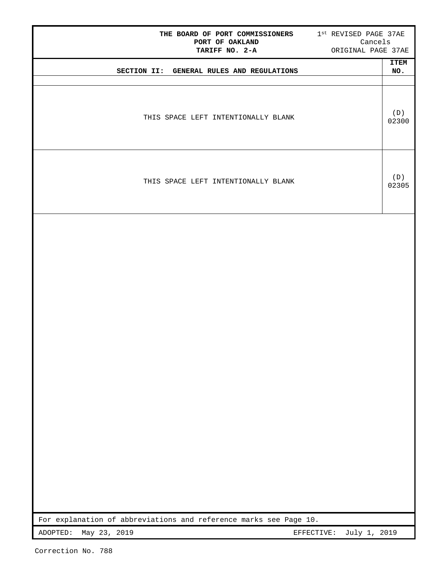| THE BOARD OF PORT COMMISSIONERS 1st REVISED PAGE 37AE<br>PORT OF OAKLAND<br>TARIFF NO. 2-A                  | Cancels<br>ORIGINAL PAGE 37AE |  |  |
|-------------------------------------------------------------------------------------------------------------|-------------------------------|--|--|
| SECTION II: GENERAL RULES AND REGULATIONS                                                                   | <b>ITEM</b><br>NO.            |  |  |
| THIS SPACE LEFT INTENTIONALLY BLANK                                                                         | (D)<br>02300                  |  |  |
| THIS SPACE LEFT INTENTIONALLY BLANK                                                                         | (D)<br>02305                  |  |  |
|                                                                                                             |                               |  |  |
|                                                                                                             |                               |  |  |
|                                                                                                             |                               |  |  |
|                                                                                                             |                               |  |  |
|                                                                                                             |                               |  |  |
|                                                                                                             |                               |  |  |
|                                                                                                             |                               |  |  |
| For explanation of abbreviations and reference marks see Page 10.<br>May 23, 2019<br>ADOPTED:<br>EFFECTIVE: | July 1, 2019                  |  |  |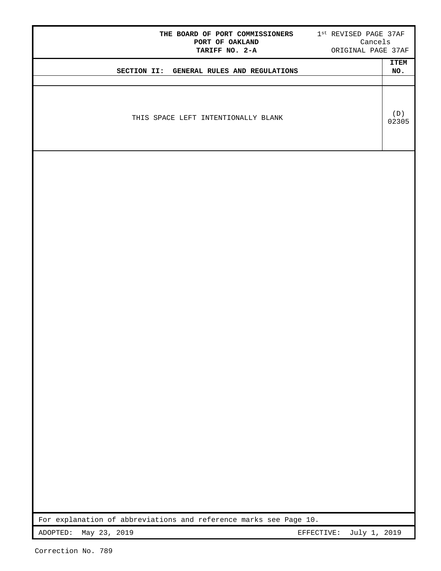|                          | THE BOARD OF PORT COMMISSIONERS 1st REVISED PAGE 37AF<br>PORT OF OAKLAND<br>TARIFF NO. 2-A |            | Cancels<br>ORIGINAL PAGE 37AF |
|--------------------------|--------------------------------------------------------------------------------------------|------------|-------------------------------|
|                          | SECTION II: GENERAL RULES AND REGULATIONS                                                  |            | <b>ITEM</b><br>NO.            |
|                          |                                                                                            |            |                               |
|                          |                                                                                            |            |                               |
|                          | THIS SPACE LEFT INTENTIONALLY BLANK                                                        |            | (D)<br>02305                  |
|                          |                                                                                            |            |                               |
|                          |                                                                                            |            |                               |
|                          |                                                                                            |            |                               |
|                          |                                                                                            |            |                               |
|                          |                                                                                            |            |                               |
|                          |                                                                                            |            |                               |
|                          |                                                                                            |            |                               |
|                          |                                                                                            |            |                               |
|                          |                                                                                            |            |                               |
|                          |                                                                                            |            |                               |
|                          |                                                                                            |            |                               |
|                          |                                                                                            |            |                               |
|                          |                                                                                            |            |                               |
|                          |                                                                                            |            |                               |
|                          |                                                                                            |            |                               |
|                          |                                                                                            |            |                               |
|                          |                                                                                            |            |                               |
|                          |                                                                                            |            |                               |
|                          |                                                                                            |            |                               |
|                          |                                                                                            |            |                               |
|                          |                                                                                            |            |                               |
|                          |                                                                                            |            |                               |
|                          |                                                                                            |            |                               |
|                          |                                                                                            |            |                               |
|                          | For explanation of abbreviations and reference marks see Page 10.                          |            |                               |
| May 23, 2019<br>ADOPTED: |                                                                                            | EFFECTIVE: | July 1, 2019                  |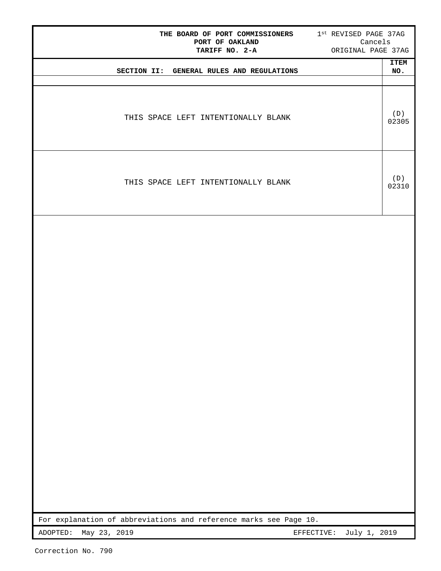| THE BOARD OF PORT COMMISSIONERS 1st REVISED PAGE 37AG<br>PORT OF OAKLAND<br>Cancels<br>ORIGINAL PAGE 37AG<br>TARIFF NO. 2-A |                    |
|-----------------------------------------------------------------------------------------------------------------------------|--------------------|
| SECTION II: GENERAL RULES AND REGULATIONS                                                                                   | <b>ITEM</b><br>NO. |
| THIS SPACE LEFT INTENTIONALLY BLANK                                                                                         | (D)<br>02305       |
| THIS SPACE LEFT INTENTIONALLY BLANK                                                                                         | (D)<br>02310       |
|                                                                                                                             |                    |
|                                                                                                                             |                    |
|                                                                                                                             |                    |
|                                                                                                                             |                    |
|                                                                                                                             |                    |
|                                                                                                                             |                    |
| For explanation of abbreviations and reference marks see Page 10.                                                           |                    |
| May 23, 2019<br>July 1, 2019<br>ADOPTED:<br>EFFECTIVE:                                                                      |                    |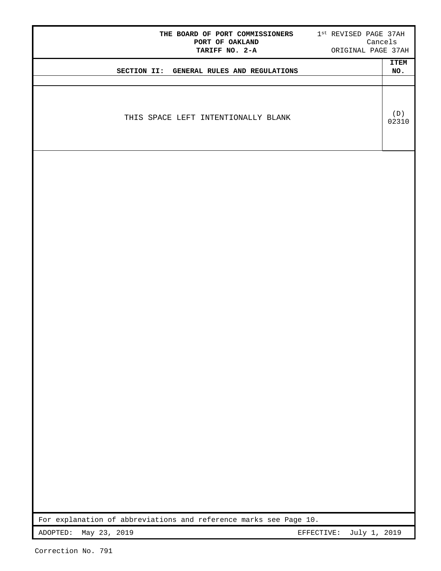| THE BOARD OF PORT COMMISSIONERS 1st REVISED PAGE 37AH<br>PORT OF OAKLAND<br>TARIFF NO. 2-A |            | ORIGINAL PAGE 37AH | Cancels            |
|--------------------------------------------------------------------------------------------|------------|--------------------|--------------------|
| SECTION II: GENERAL RULES AND REGULATIONS                                                  |            |                    | <b>ITEM</b><br>NO. |
|                                                                                            |            |                    |                    |
| THIS SPACE LEFT INTENTIONALLY BLANK                                                        |            |                    | (D)<br>02310       |
|                                                                                            |            |                    |                    |
|                                                                                            |            |                    |                    |
|                                                                                            |            |                    |                    |
|                                                                                            |            |                    |                    |
|                                                                                            |            |                    |                    |
|                                                                                            |            |                    |                    |
|                                                                                            |            |                    |                    |
|                                                                                            |            |                    |                    |
|                                                                                            |            |                    |                    |
|                                                                                            |            |                    |                    |
|                                                                                            |            |                    |                    |
|                                                                                            |            |                    |                    |
|                                                                                            |            |                    |                    |
|                                                                                            |            |                    |                    |
|                                                                                            |            |                    |                    |
|                                                                                            |            |                    |                    |
|                                                                                            |            |                    |                    |
|                                                                                            |            |                    |                    |
|                                                                                            |            |                    |                    |
|                                                                                            |            |                    |                    |
|                                                                                            |            |                    |                    |
| For explanation of abbreviations and reference marks see Page 10.                          |            |                    |                    |
| ADOPTED:<br>May 23, 2019                                                                   | EFFECTIVE: | July 1, 2019       |                    |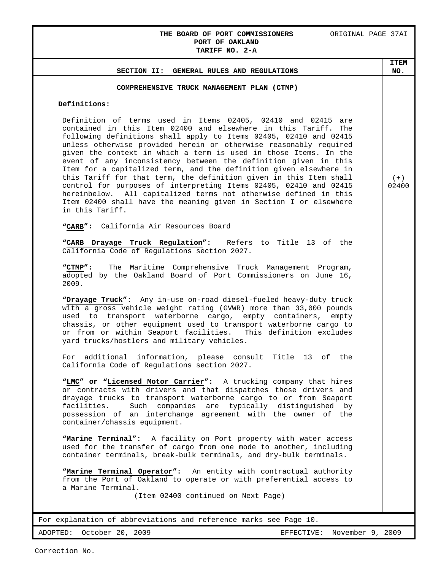### **THE BOARD OF PORT COMMISSIONERS** ORIGINAL PAGE 37AI **PORT OF OAKLAND TARIFF NO. 2-A**

## For explanation of abbreviations and reference marks see Page 10. ADOPTED: October 20, 2009 EFFECTIVE: November 9, 2009 **SECTION II: GENERAL RULES AND REGULATIONS ITEM NO. COMPREHENSIVE TRUCK MANAGEMENT PLAN (CTMP) Definitions:** Definition of terms used in Items 02405, 02410 and 02415 are contained in this Item 02400 and elsewhere in this Tariff. The following definitions shall apply to Items 02405, 02410 and 02415 unless otherwise provided herein or otherwise reasonably required given the context in which a term is used in those Items. In the event of any inconsistency between the definition given in this Item for a capitalized term, and the definition given elsewhere in this Tariff for that term, the definition given in this Item shall control for purposes of interpreting Items 02405, 02410 and 02415 hereinbelow. All capitalized terms not otherwise defined in this Item 02400 shall have the meaning given in Section I or elsewhere in this Tariff. **"CARB":** California Air Resources Board **"CARB Drayage Truck Regulation":** Refers to Title 13 of the California Code of Regulations section 2027. **"CTMP":** The Maritime Comprehensive Truck Management Program, adopted by the Oakland Board of Port Commissioners on June 16, 2009. **"Drayage Truck":** Any in-use on-road diesel-fueled heavy-duty truck with a gross vehicle weight rating (GVWR) more than 33,000 pounds used to transport waterborne cargo, empty containers, empty chassis, or other equipment used to transport waterborne cargo to or from or within Seaport facilities. This definition excludes yard trucks/hostlers and military vehicles. For additional information, please consult Title 13 of the California Code of Regulations section 2027. **"LMC" or "Licensed Motor Carrier":** A trucking company that hires or contracts with drivers and that dispatches those drivers and drayage trucks to transport waterborne cargo to or from Seaport facilities. Such companies are typically distinguished by possession of an interchange agreement with the owner of the container/chassis equipment. **"Marine Terminal":** A facility on Port property with water access used for the transfer of cargo from one mode to another, including container terminals, break-bulk terminals, and dry-bulk terminals. **"Marine Terminal Operator":** An entity with contractual authority from the Port of Oakland to operate or with preferential access to a Marine Terminal. (Item 02400 continued on Next Page)  $(+)$ 02400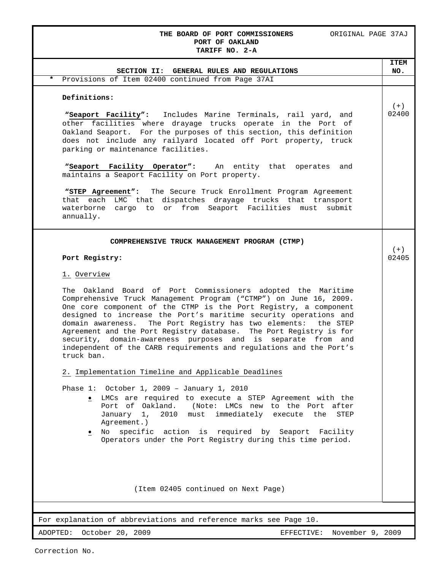## **THE BOARD OF PORT COMMISSIONERS** ORIGINAL PAGE 37AJ **PORT OF OAKLAND**

| TARIFF NO. 2-A                                                                                                                                                                                                                                                                                                                                                                                                                                                                                                                                                               |                |
|------------------------------------------------------------------------------------------------------------------------------------------------------------------------------------------------------------------------------------------------------------------------------------------------------------------------------------------------------------------------------------------------------------------------------------------------------------------------------------------------------------------------------------------------------------------------------|----------------|
|                                                                                                                                                                                                                                                                                                                                                                                                                                                                                                                                                                              | <b>ITEM</b>    |
| SECTION II: GENERAL RULES AND REGULATIONS                                                                                                                                                                                                                                                                                                                                                                                                                                                                                                                                    | NO.            |
| Provisions of Item 02400 continued from Page 37AI<br>$\star$                                                                                                                                                                                                                                                                                                                                                                                                                                                                                                                 |                |
| Definitions:                                                                                                                                                                                                                                                                                                                                                                                                                                                                                                                                                                 |                |
| "Seaport Facility": Includes Marine Terminals, rail yard, and<br>other facilities where drayage trucks operate in the Port of<br>Oakland Seaport. For the purposes of this section, this definition<br>does not include any railyard located off Port property, truck<br>parking or maintenance facilities.                                                                                                                                                                                                                                                                  | $(+)$<br>02400 |
| "Seaport Facility Operator": An entity that operates<br>and<br>maintains a Seaport Facility on Port property.                                                                                                                                                                                                                                                                                                                                                                                                                                                                |                |
| "STEP Agreement": The Secure Truck Enrollment Program Agreement<br>that each LMC that dispatches drayage trucks that transport<br>waterborne cargo to or from Seaport Facilities must<br>submit<br>annually.                                                                                                                                                                                                                                                                                                                                                                 |                |
| COMPREHENSIVE TRUCK MANAGEMENT PROGRAM (CTMP)                                                                                                                                                                                                                                                                                                                                                                                                                                                                                                                                |                |
| Port Registry:                                                                                                                                                                                                                                                                                                                                                                                                                                                                                                                                                               | $(+)$<br>02405 |
| 1. Overview                                                                                                                                                                                                                                                                                                                                                                                                                                                                                                                                                                  |                |
| The Oakland Board of Port Commissioners adopted the Maritime<br>Comprehensive Truck Management Program ("CTMP") on June 16, 2009.<br>One core component of the CTMP is the Port Registry, a component<br>designed to increase the Port's maritime security operations and<br>The Port Registry has two elements:<br>domain awareness.<br>the STEP<br>Agreement and the Port Registry database. The Port Registry is for<br>security, domain-awareness purposes and is separate from and<br>independent of the CARB requirements and regulations and the Port's<br>truck ban. |                |
| 2. Implementation Timeline and Applicable Deadlines                                                                                                                                                                                                                                                                                                                                                                                                                                                                                                                          |                |
| Phase 1: October 1, 2009 - January 1, 2010<br>· LMCs are required to execute a STEP Agreement with the<br>Port of Oakland.<br>(Note: LMCs new to the Port after<br>must immediately execute the<br>January 1,<br>2010<br>STEP<br>Agreement.)                                                                                                                                                                                                                                                                                                                                 |                |
| No specific action is required by Seaport Facility<br>Operators under the Port Registry during this time period.                                                                                                                                                                                                                                                                                                                                                                                                                                                             |                |
| (Item 02405 continued on Next Page)                                                                                                                                                                                                                                                                                                                                                                                                                                                                                                                                          |                |
| For explanation of abbreviations and reference marks see Page 10.                                                                                                                                                                                                                                                                                                                                                                                                                                                                                                            |                |
|                                                                                                                                                                                                                                                                                                                                                                                                                                                                                                                                                                              |                |
| ADOPTED: October 20, 2009<br>November 9, 2009<br>EFFECTIVE:                                                                                                                                                                                                                                                                                                                                                                                                                                                                                                                  |                |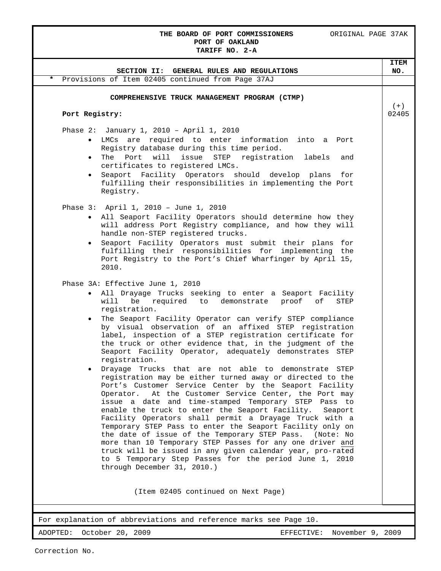## **THE BOARD OF PORT COMMISSIONERS** ORIGINAL PAGE 37AK **PORT OF OAKLAND**

| TARIFF NO. 2-A                                                                                                                                                                                                                                                                                                                                                                                                                                                                                                                                                                                                                                                                                                                                                          |                    |
|-------------------------------------------------------------------------------------------------------------------------------------------------------------------------------------------------------------------------------------------------------------------------------------------------------------------------------------------------------------------------------------------------------------------------------------------------------------------------------------------------------------------------------------------------------------------------------------------------------------------------------------------------------------------------------------------------------------------------------------------------------------------------|--------------------|
| SECTION II: GENERAL RULES AND REGULATIONS                                                                                                                                                                                                                                                                                                                                                                                                                                                                                                                                                                                                                                                                                                                               | <b>ITEM</b><br>NO. |
| Provisions of Item 02405 continued from Page 37AJ<br>$\star$                                                                                                                                                                                                                                                                                                                                                                                                                                                                                                                                                                                                                                                                                                            |                    |
| COMPREHENSIVE TRUCK MANAGEMENT PROGRAM (CTMP)                                                                                                                                                                                                                                                                                                                                                                                                                                                                                                                                                                                                                                                                                                                           |                    |
| Port Registry:                                                                                                                                                                                                                                                                                                                                                                                                                                                                                                                                                                                                                                                                                                                                                          | $(+)$<br>02405     |
| Phase 2: January 1, 2010 - April 1, 2010                                                                                                                                                                                                                                                                                                                                                                                                                                                                                                                                                                                                                                                                                                                                |                    |
| • LMCs are required to enter information into a Port<br>Registry database during this time period.                                                                                                                                                                                                                                                                                                                                                                                                                                                                                                                                                                                                                                                                      |                    |
| . The Port will issue STEP registration labels<br>and<br>certificates to registered LMCs.                                                                                                                                                                                                                                                                                                                                                                                                                                                                                                                                                                                                                                                                               |                    |
| Seaport Facility Operators should develop plans<br>for<br>$\bullet$<br>fulfilling their responsibilities in implementing the Port<br>Registry.                                                                                                                                                                                                                                                                                                                                                                                                                                                                                                                                                                                                                          |                    |
| Phase 3: April 1, 2010 - June 1, 2010                                                                                                                                                                                                                                                                                                                                                                                                                                                                                                                                                                                                                                                                                                                                   |                    |
| . All Seaport Facility Operators should determine how they<br>will address Port Registry compliance, and how they will<br>handle non-STEP registered trucks.                                                                                                                                                                                                                                                                                                                                                                                                                                                                                                                                                                                                            |                    |
| Seaport Facility Operators must submit their plans for<br>$\bullet$<br>fulfilling their responsibilities for implementing the<br>Port Registry to the Port's Chief Wharfinger by April 15,<br>2010.                                                                                                                                                                                                                                                                                                                                                                                                                                                                                                                                                                     |                    |
| Phase 3A: Effective June 1, 2010                                                                                                                                                                                                                                                                                                                                                                                                                                                                                                                                                                                                                                                                                                                                        |                    |
| . All Drayage Trucks seeking to enter a Seaport Facility<br>will be required to demonstrate proof of<br>STEP<br>registration.<br>The Seaport Facility Operator can verify STEP compliance<br>$\bullet$<br>by visual observation of an affixed STEP registration<br>label, inspection of a STEP registration certificate for<br>the truck or other evidence that, in the judgment of the<br>Seaport Facility Operator, adequately demonstrates STEP<br>registration.                                                                                                                                                                                                                                                                                                     |                    |
| Drayage Trucks that are not able to demonstrate<br>STEP<br>registration may be either turned away or directed to the<br>Port's Customer Service Center by the Seaport Facility<br>At the Customer Service Center, the Port may<br>Operator.<br>issue a date and time-stamped Temporary STEP Pass to<br>enable the truck to enter the Seaport Facility.<br>Seaport<br>Facility Operators shall permit a Drayage Truck with a<br>Temporary STEP Pass to enter the Seaport Facility only on<br>the date of issue of the Temporary STEP Pass. (Note: No<br>more than 10 Temporary STEP Passes for any one driver and<br>truck will be issued in any given calendar year, pro-rated<br>to 5 Temporary Step Passes for the period June 1, 2010<br>through December 31, 2010.) |                    |
| (Item 02405 continued on Next Page)                                                                                                                                                                                                                                                                                                                                                                                                                                                                                                                                                                                                                                                                                                                                     |                    |
| For explanation of abbreviations and reference marks see Page 10.                                                                                                                                                                                                                                                                                                                                                                                                                                                                                                                                                                                                                                                                                                       |                    |

ADOPTED: October 20, 2009 EFFECTIVE: November 9, 2009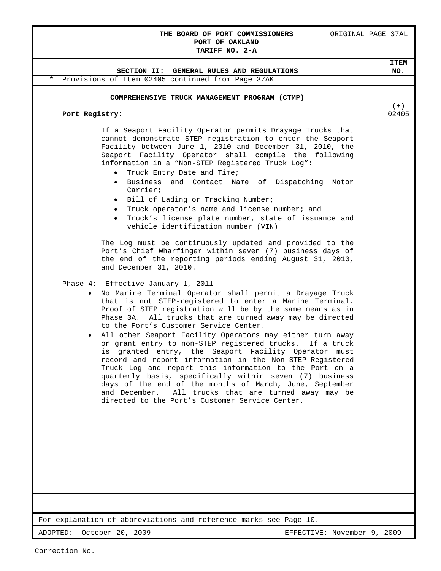## THE BOARD OF PORT COMMISSIONERS ORIGINAL PAGE 37AL **PORT OF OAKLAND**

|                |                                                                                                                         | <b>ITEM</b>                 |
|----------------|-------------------------------------------------------------------------------------------------------------------------|-----------------------------|
|                | SECTION II: GENERAL RULES AND REGULATIONS                                                                               | NO.                         |
|                | Provisions of Item 02405 continued from Page 37AK                                                                       |                             |
|                | COMPREHENSIVE TRUCK MANAGEMENT PROGRAM (CTMP)                                                                           |                             |
|                |                                                                                                                         | $(+)$                       |
| Port Registry: |                                                                                                                         | 02405                       |
|                |                                                                                                                         |                             |
|                | If a Seaport Facility Operator permits Drayage Trucks that<br>cannot demonstrate STEP registration to enter the Seaport |                             |
|                | Facility between June 1, 2010 and December 31, 2010, the                                                                |                             |
|                | Seaport Facility Operator shall compile the following                                                                   |                             |
|                | information in a "Non-STEP Registered Truck Log":                                                                       |                             |
|                | Truck Entry Date and Time;                                                                                              |                             |
|                | Business and Contact Name of Dispatching Motor<br>$\bullet$<br>Carrier;                                                 |                             |
|                | Bill of Lading or Tracking Number;                                                                                      |                             |
|                | Truck operator's name and license number; and                                                                           |                             |
|                | Truck's license plate number, state of issuance and                                                                     |                             |
|                | vehicle identification number (VIN)                                                                                     |                             |
|                | The Log must be continuously updated and provided to the                                                                |                             |
|                | Port's Chief Wharfinger within seven (7) business days of                                                               |                             |
|                | the end of the reporting periods ending August 31, 2010,                                                                |                             |
|                | and December 31, 2010.                                                                                                  |                             |
|                | Phase 4: Effective January 1, 2011                                                                                      |                             |
| $\bullet$      | No Marine Terminal Operator shall permit a Drayage Truck                                                                |                             |
|                | that is not STEP-registered to enter a Marine Terminal.                                                                 |                             |
|                | Proof of STEP registration will be by the same means as in                                                              |                             |
|                | Phase 3A. All trucks that are turned away may be directed<br>to the Port's Customer Service Center.                     |                             |
| $\bullet$      | All other Seaport Facility Operators may either turn away                                                               |                             |
|                | or grant entry to non-STEP registered trucks. If a truck                                                                |                             |
|                | is granted entry, the Seaport Facility Operator must                                                                    |                             |
|                | record and report information in the Non-STEP-Registered                                                                |                             |
|                | Truck Log and report this information to the Port on a<br>quarterly basis, specifically within seven (7) business       |                             |
|                | days of the end of the months of March, June, September                                                                 |                             |
|                | and December. All trucks that are turned away may be                                                                    |                             |
|                | directed to the Port's Customer Service Center.                                                                         |                             |
|                |                                                                                                                         |                             |
|                |                                                                                                                         |                             |
|                |                                                                                                                         |                             |
|                |                                                                                                                         |                             |
|                |                                                                                                                         |                             |
|                |                                                                                                                         |                             |
|                |                                                                                                                         |                             |
|                |                                                                                                                         |                             |
|                |                                                                                                                         |                             |
|                |                                                                                                                         |                             |
|                | For explanation of abbreviations and reference marks see Page 10.                                                       |                             |
| ADOPTED:       | October 20, 2009                                                                                                        | EFFECTIVE: November 9, 2009 |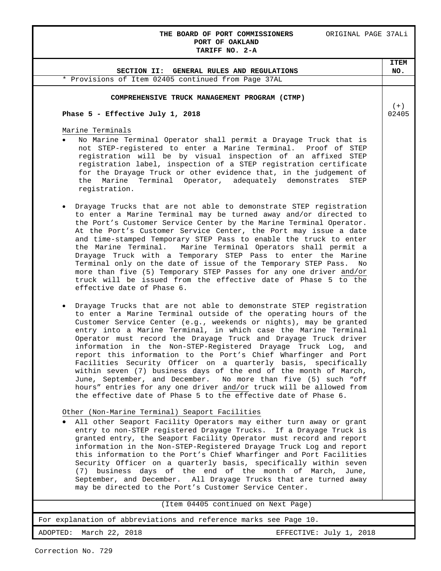### **THE BOARD OF PORT COMMISSIONERS** ORIGINAL PAGE 37ALi **PORT OF OAKLAND TARIFF NO. 2-A**

## For explanation of abbreviations and reference marks see Page 10. ADOPTED: March 22, 2018 **EXECTIVE:** July 1, 2018 (Item 04405 continued on Next Page) **SECTION II: GENERAL RULES AND REGULATIONS ITEM NO.** \* Provisions of Item 02405 continued from Page 37AL **COMPREHENSIVE TRUCK MANAGEMENT PROGRAM (CTMP) Phase 5 - Effective July 1, 2018** Marine Terminals • No Marine Terminal Operator shall permit a Drayage Truck that is not STEP-registered to enter a Marine Terminal. Proof of STEP registration will be by visual inspection of an affixed STEP registration label, inspection of a STEP registration certificate for the Drayage Truck or other evidence that, in the judgement of the Marine Terminal Operator, adequately demonstrates STEP registration. • Drayage Trucks that are not able to demonstrate STEP registration to enter a Marine Terminal may be turned away and/or directed to the Port's Customer Service Center by the Marine Terminal Operator. At the Port's Customer Service Center, the Port may issue a date and time-stamped Temporary STEP Pass to enable the truck to enter the Marine Terminal. Marine Terminal Operators shall permit a Drayage Truck with a Temporary STEP Pass to enter the Marine Terminal only on the date of issue of the Temporary STEP Pass. No more than five (5) Temporary STEP Passes for any one driver and/or truck will be issued from the effective date of Phase 5 to the effective date of Phase 6. • Drayage Trucks that are not able to demonstrate STEP registration to enter a Marine Terminal outside of the operating hours of the Customer Service Center (e.g., weekends or nights), may be granted entry into a Marine Terminal, in which case the Marine Terminal Operator must record the Drayage Truck and Drayage Truck driver information in the Non-STEP-Registered Drayage Truck Log, and report this information to the Port's Chief Wharfinger and Port Facilities Security Officer on a quarterly basis, specifically within seven (7) business days of the end of the month of March, June, September, and December. No more than five (5) such "off hours" entries for any one driver and/or truck will be allowed from the effective date of Phase 5 to the effective date of Phase 6. Other (Non-Marine Terminal) Seaport Facilities • All other Seaport Facility Operators may either turn away or grant entry to non-STEP registered Drayage Trucks. If a Drayage Truck is granted entry, the Seaport Facility Operator must record and report information in the Non-STEP-Registered Drayage Truck Log and report this information to the Port's Chief Wharfinger and Port Facilities Security Officer on a quarterly basis, specifically within seven (7) business days of the end of the month of March, June, September, and December. All Drayage Trucks that are turned away may be directed to the Port's Customer Service Center.  $(+)$ 02405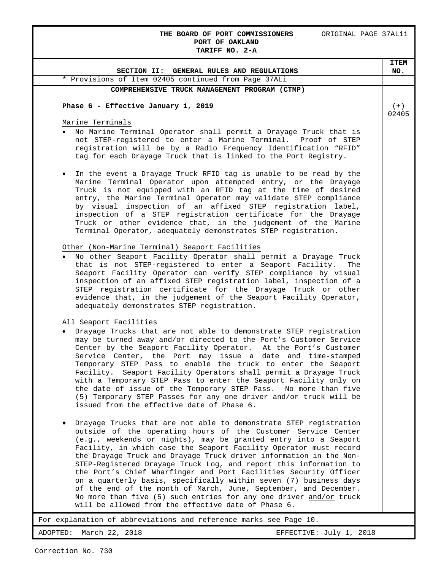## **THE BOARD OF PORT COMMISSIONERS** ORIGINAL PAGE 37ALii **PORT OF OAKLAND**

| TARIFF NO. 2-A                                                                                                                                                                                                                                                                                                                                                                                                                                                                                                                                                                                                                                                                                                                                                  |                |
|-----------------------------------------------------------------------------------------------------------------------------------------------------------------------------------------------------------------------------------------------------------------------------------------------------------------------------------------------------------------------------------------------------------------------------------------------------------------------------------------------------------------------------------------------------------------------------------------------------------------------------------------------------------------------------------------------------------------------------------------------------------------|----------------|
|                                                                                                                                                                                                                                                                                                                                                                                                                                                                                                                                                                                                                                                                                                                                                                 | <b>ITEM</b>    |
| SECTION II: GENERAL RULES AND REGULATIONS                                                                                                                                                                                                                                                                                                                                                                                                                                                                                                                                                                                                                                                                                                                       | NO.            |
| * Provisions of Item 02405 continued from Page 37ALi                                                                                                                                                                                                                                                                                                                                                                                                                                                                                                                                                                                                                                                                                                            |                |
| COMPREHENSIVE TRUCK MANAGEMENT PROGRAM (CTMP)                                                                                                                                                                                                                                                                                                                                                                                                                                                                                                                                                                                                                                                                                                                   |                |
| Phase 6 - Effective January 1, 2019                                                                                                                                                                                                                                                                                                                                                                                                                                                                                                                                                                                                                                                                                                                             | $(+)$<br>02405 |
| Marine Terminals                                                                                                                                                                                                                                                                                                                                                                                                                                                                                                                                                                                                                                                                                                                                                |                |
| No Marine Terminal Operator shall permit a Drayage Truck that is<br>not STEP-registered to enter a Marine Terminal. Proof of STEP<br>registration will be by a Radio Frequency Identification "RFID"<br>tag for each Drayage Truck that is linked to the Port Registry.                                                                                                                                                                                                                                                                                                                                                                                                                                                                                         |                |
| In the event a Drayage Truck RFID tag is unable to be read by the<br>$\bullet$<br>Marine Terminal Operator upon attempted entry, or the Drayage<br>Truck is not equipped with an RFID tag at the time of desired<br>entry, the Marine Terminal Operator may validate STEP compliance<br>by visual inspection of an affixed STEP registration label,<br>inspection of a STEP registration certificate for the Drayage<br>Truck or other evidence that, in the judgement of the Marine<br>Terminal Operator, adequately demonstrates STEP registration.                                                                                                                                                                                                           |                |
| Other (Non-Marine Terminal) Seaport Facilities                                                                                                                                                                                                                                                                                                                                                                                                                                                                                                                                                                                                                                                                                                                  |                |
| No other Seaport Facility Operator shall permit a Drayage Truck<br>that is not STEP-registered to enter a Seaport Facility.<br>The<br>Seaport Facility Operator can verify STEP compliance by visual<br>inspection of an affixed STEP registration label, inspection of a<br>STEP registration certificate for the Drayage Truck or other<br>evidence that, in the judgement of the Seaport Facility Operator,<br>adequately demonstrates STEP registration.                                                                                                                                                                                                                                                                                                    |                |
| All Seaport Facilities                                                                                                                                                                                                                                                                                                                                                                                                                                                                                                                                                                                                                                                                                                                                          |                |
| Drayage Trucks that are not able to demonstrate STEP registration<br>$\bullet$<br>may be turned away and/or directed to the Port's Customer Service<br>Center by the Seaport Facility Operator. At the Port's Customer<br>Service Center, the Port may issue a date and time-stamped<br>Temporary STEP Pass to enable the truck to enter the Seaport<br>Facility. Seaport Facility Operators shall permit a Drayage Truck<br>with a Temporary STEP Pass to enter the Seaport Facility only on<br>the date of issue of the Temporary STEP Pass. No more than five<br>(5) Temporary STEP Passes for any one driver and/or truck will be<br>issued from the effective date of Phase 6.                                                                             |                |
| Drayage Trucks that are not able to demonstrate STEP registration<br>outside of the operating hours of the Customer Service Center<br>(e.g., weekends or nights), may be granted entry into a Seaport<br>Facility, in which case the Seaport Facility Operator must record<br>the Drayage Truck and Drayage Truck driver information in the Non-<br>STEP-Registered Drayage Truck Log, and report this information to<br>the Port's Chief Wharfinger and Port Facilities Security Officer<br>on a quarterly basis, specifically within seven (7) business days<br>of the end of the month of March, June, September, and December.<br>No more than five (5) such entries for any one driver and/or truck<br>will be allowed from the effective date of Phase 6. |                |
| For explanation of abbreviations and reference marks see Page 10.                                                                                                                                                                                                                                                                                                                                                                                                                                                                                                                                                                                                                                                                                               |                |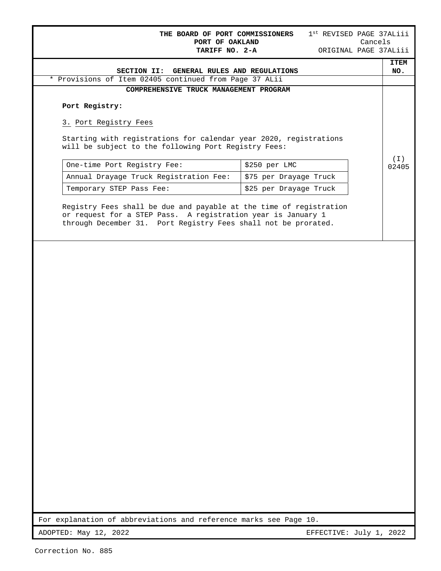| GENERAL RULES AND REGULATIONS<br>SECTION II:<br>* Provisions of Item 02405 continued from Page 37 ALii<br>COMPREHENSIVE TRUCK MANAGEMENT PROGRAM<br>Port Registry:<br>3. Port Registry Fees<br>Starting with registrations for calendar year 2020, registrations<br>will be subject to the following Port Registry Fees:<br>One-time Port Registry Fee:<br>\$250 per LMC<br>Annual Drayage Truck Registration Fee:<br>\$75 per Drayage Truck<br>Temporary STEP Pass Fee:<br>\$25 per Drayage Truck<br>Registry Fees shall be due and payable at the time of registration<br>or request for a STEP Pass. A registration year is January 1<br>through December 31. Port Registry Fees shall not be prorated.<br>For explanation of abbreviations and reference marks see Page 10. | 1st REVISED PAGE 37ALiii<br>Cancels<br>ORIGINAL PAGE 37ALiii |
|---------------------------------------------------------------------------------------------------------------------------------------------------------------------------------------------------------------------------------------------------------------------------------------------------------------------------------------------------------------------------------------------------------------------------------------------------------------------------------------------------------------------------------------------------------------------------------------------------------------------------------------------------------------------------------------------------------------------------------------------------------------------------------|--------------------------------------------------------------|
|                                                                                                                                                                                                                                                                                                                                                                                                                                                                                                                                                                                                                                                                                                                                                                                 |                                                              |
|                                                                                                                                                                                                                                                                                                                                                                                                                                                                                                                                                                                                                                                                                                                                                                                 |                                                              |
|                                                                                                                                                                                                                                                                                                                                                                                                                                                                                                                                                                                                                                                                                                                                                                                 |                                                              |
|                                                                                                                                                                                                                                                                                                                                                                                                                                                                                                                                                                                                                                                                                                                                                                                 |                                                              |
|                                                                                                                                                                                                                                                                                                                                                                                                                                                                                                                                                                                                                                                                                                                                                                                 |                                                              |
|                                                                                                                                                                                                                                                                                                                                                                                                                                                                                                                                                                                                                                                                                                                                                                                 |                                                              |
|                                                                                                                                                                                                                                                                                                                                                                                                                                                                                                                                                                                                                                                                                                                                                                                 |                                                              |
|                                                                                                                                                                                                                                                                                                                                                                                                                                                                                                                                                                                                                                                                                                                                                                                 |                                                              |
|                                                                                                                                                                                                                                                                                                                                                                                                                                                                                                                                                                                                                                                                                                                                                                                 |                                                              |
|                                                                                                                                                                                                                                                                                                                                                                                                                                                                                                                                                                                                                                                                                                                                                                                 |                                                              |
|                                                                                                                                                                                                                                                                                                                                                                                                                                                                                                                                                                                                                                                                                                                                                                                 |                                                              |
|                                                                                                                                                                                                                                                                                                                                                                                                                                                                                                                                                                                                                                                                                                                                                                                 |                                                              |
|                                                                                                                                                                                                                                                                                                                                                                                                                                                                                                                                                                                                                                                                                                                                                                                 |                                                              |
|                                                                                                                                                                                                                                                                                                                                                                                                                                                                                                                                                                                                                                                                                                                                                                                 |                                                              |
|                                                                                                                                                                                                                                                                                                                                                                                                                                                                                                                                                                                                                                                                                                                                                                                 |                                                              |
|                                                                                                                                                                                                                                                                                                                                                                                                                                                                                                                                                                                                                                                                                                                                                                                 |                                                              |
|                                                                                                                                                                                                                                                                                                                                                                                                                                                                                                                                                                                                                                                                                                                                                                                 |                                                              |
|                                                                                                                                                                                                                                                                                                                                                                                                                                                                                                                                                                                                                                                                                                                                                                                 |                                                              |
|                                                                                                                                                                                                                                                                                                                                                                                                                                                                                                                                                                                                                                                                                                                                                                                 |                                                              |
|                                                                                                                                                                                                                                                                                                                                                                                                                                                                                                                                                                                                                                                                                                                                                                                 |                                                              |
|                                                                                                                                                                                                                                                                                                                                                                                                                                                                                                                                                                                                                                                                                                                                                                                 |                                                              |
|                                                                                                                                                                                                                                                                                                                                                                                                                                                                                                                                                                                                                                                                                                                                                                                 |                                                              |
|                                                                                                                                                                                                                                                                                                                                                                                                                                                                                                                                                                                                                                                                                                                                                                                 |                                                              |
|                                                                                                                                                                                                                                                                                                                                                                                                                                                                                                                                                                                                                                                                                                                                                                                 |                                                              |
|                                                                                                                                                                                                                                                                                                                                                                                                                                                                                                                                                                                                                                                                                                                                                                                 |                                                              |
|                                                                                                                                                                                                                                                                                                                                                                                                                                                                                                                                                                                                                                                                                                                                                                                 |                                                              |
|                                                                                                                                                                                                                                                                                                                                                                                                                                                                                                                                                                                                                                                                                                                                                                                 |                                                              |
|                                                                                                                                                                                                                                                                                                                                                                                                                                                                                                                                                                                                                                                                                                                                                                                 |                                                              |
|                                                                                                                                                                                                                                                                                                                                                                                                                                                                                                                                                                                                                                                                                                                                                                                 |                                                              |
|                                                                                                                                                                                                                                                                                                                                                                                                                                                                                                                                                                                                                                                                                                                                                                                 |                                                              |
|                                                                                                                                                                                                                                                                                                                                                                                                                                                                                                                                                                                                                                                                                                                                                                                 |                                                              |
|                                                                                                                                                                                                                                                                                                                                                                                                                                                                                                                                                                                                                                                                                                                                                                                 |                                                              |
|                                                                                                                                                                                                                                                                                                                                                                                                                                                                                                                                                                                                                                                                                                                                                                                 |                                                              |
| ADOPTED: May 12, 2022<br>EFFECTIVE: July 1, 2022                                                                                                                                                                                                                                                                                                                                                                                                                                                                                                                                                                                                                                                                                                                                |                                                              |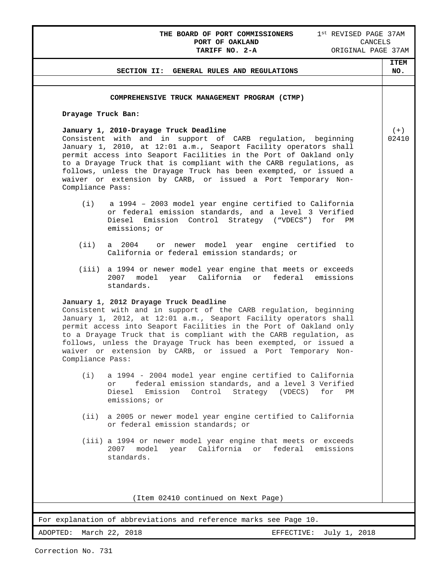## **THE BOARD OF PORT COMMISSIONERS** 1<sup>st</sup> REVISED PAGE 37AM **PORT OF OAKLAND** CANCELS **PORT OF OAKLAND** CANCELS

|                    | SECTION II: GENERAL RULES AND REGULATIONS                                                                                                                                                                                                                                                                                                                                                                                                                    | <b>ITEM</b><br>NO. |
|--------------------|--------------------------------------------------------------------------------------------------------------------------------------------------------------------------------------------------------------------------------------------------------------------------------------------------------------------------------------------------------------------------------------------------------------------------------------------------------------|--------------------|
|                    |                                                                                                                                                                                                                                                                                                                                                                                                                                                              |                    |
|                    | COMPREHENSIVE TRUCK MANAGEMENT PROGRAM (CTMP)                                                                                                                                                                                                                                                                                                                                                                                                                |                    |
| Drayage Truck Ban: |                                                                                                                                                                                                                                                                                                                                                                                                                                                              |                    |
|                    |                                                                                                                                                                                                                                                                                                                                                                                                                                                              | $(+)$              |
| Compliance Pass:   | January 1, 2010-Drayage Truck Deadline<br>Consistent with and in support of CARB regulation, beginning<br>January 1, 2010, at 12:01 a.m., Seaport Facility operators shall<br>permit access into Seaport Facilities in the Port of Oakland only<br>to a Drayage Truck that is compliant with the CARB regulations, as<br>follows, unless the Drayage Truck has been exempted, or issued a<br>waiver or extension by CARB, or issued a Port Temporary Non-    | 02410              |
| (i)                | a 1994 - 2003 model year engine certified to California<br>or federal emission standards, and a level 3 Verified<br>Diesel Emission Control Strategy ("VDECS")<br>for<br>ΡM                                                                                                                                                                                                                                                                                  |                    |
|                    | emissions; or                                                                                                                                                                                                                                                                                                                                                                                                                                                |                    |
| (iii)              | or newer model year engine certified to<br>a 2004<br>California or federal emission standards; or                                                                                                                                                                                                                                                                                                                                                            |                    |
| (iii)              | a 1994 or newer model year engine that meets or exceeds<br>2007 model<br>year California or<br>federal emissions<br>standards.                                                                                                                                                                                                                                                                                                                               |                    |
| Compliance Pass:   | January 1, 2012 Drayage Truck Deadline<br>Consistent with and in support of the CARB regulation, beginning<br>January 1, 2012, at 12:01 a.m., Seaport Facility operators shall<br>permit access into Seaport Facilities in the Port of Oakland only<br>to a Drayage Truck that is compliant with the CARB regulation, as<br>follows, unless the Drayage Truck has been exempted, or issued a<br>waiver or extension by CARB, or issued a Port Temporary Non- |                    |
| (i)                | a 1994 - 2004 model year engine certified to California<br>federal emission standards, and a level 3 Verified<br>or<br>Diesel<br>Emission<br>Control<br>Strategy<br>(VDECS)<br>for<br>PM<br>emissions; or                                                                                                                                                                                                                                                    |                    |
| (iii)              | a 2005 or newer model year engine certified to California<br>or federal emission standards; or                                                                                                                                                                                                                                                                                                                                                               |                    |
|                    | (iii) a 1994 or newer model year engine that meets or exceeds<br>2007 model year California or federal emissions<br>standards.                                                                                                                                                                                                                                                                                                                               |                    |
|                    | (Item 02410 continued on Next Page)                                                                                                                                                                                                                                                                                                                                                                                                                          |                    |
|                    | For explanation of abbreviations and reference marks see Page 10.                                                                                                                                                                                                                                                                                                                                                                                            |                    |
| ADOPTED:           | March 22, 2018<br>July 1, 2018<br>EFFECTIVE:                                                                                                                                                                                                                                                                                                                                                                                                                 |                    |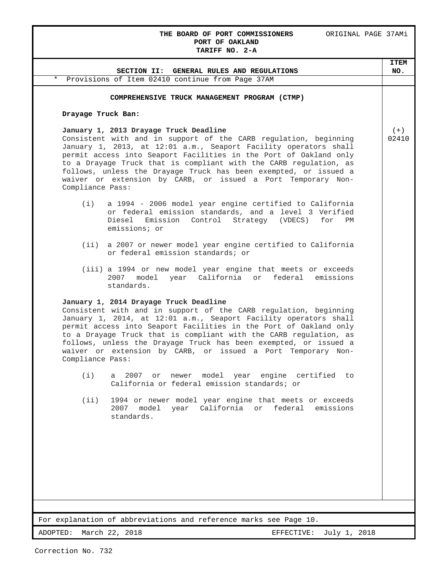### **THE BOARD OF PORT COMMISSIONERS** ORIGINAL PAGE 37AMi **PORT OF OAKLAND TARIFF NO. 2-A**

# For explanation of abbreviations and reference marks see Page 10. **SECTION II: GENERAL RULES AND REGULATIONS ITEM NO.** \* Provisions of Item 02410 continue from Page 37AM **COMPREHENSIVE TRUCK MANAGEMENT PROGRAM (CTMP) Drayage Truck Ban: January 1, 2013 Drayage Truck Deadline** Consistent with and in support of the CARB regulation, beginning January 1, 2013, at 12:01 a.m., Seaport Facility operators shall permit access into Seaport Facilities in the Port of Oakland only to a Drayage Truck that is compliant with the CARB regulation, as follows, unless the Drayage Truck has been exempted, or issued a waiver or extension by CARB, or issued a Port Temporary Non-Compliance Pass: (i) a 1994 - 2006 model year engine certified to California or federal emission standards, and a level 3 Verified Diesel Emission Control Strategy (VDECS) for emissions; or (ii) a 2007 or newer model year engine certified to California or federal emission standards; or (iii) a 1994 or new model year engine that meets or exceeds 2007 model year California or federal emissions standards. **January 1, 2014 Drayage Truck Deadline** Consistent with and in support of the CARB regulation, beginning January 1, 2014, at 12:01 a.m., Seaport Facility operators shall permit access into Seaport Facilities in the Port of Oakland only to a Drayage Truck that is compliant with the CARB regulation, as follows, unless the Drayage Truck has been exempted, or issued a waiver or extension by CARB, or issued a Port Temporary Non-Compliance Pass: (i) a 2007 or newer model year engine certified to California or federal emission standards; or (ii) 1994 or newer model year engine that meets or exceeds 2007 model year California or federal emissions standards.  $(+)$ 02410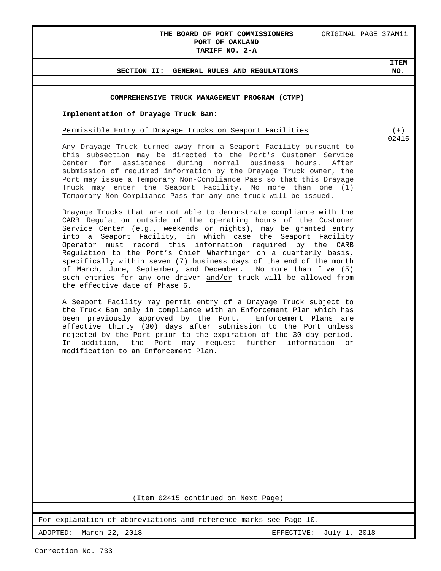## **THE BOARD OF PORT COMMISSIONERS** ORIGINAL PAGE 37AMii **PORT OF OAKLAND**

# **TARIFF NO. 2-A** For explanation of abbreviations and reference marks see Page 10. ADOPTED: March 22, 2018 **EXECTIVE:** July 1, 2018 **SECTION II: GENERAL RULES AND REGULATIONS ITEM NO. COMPREHENSIVE TRUCK MANAGEMENT PROGRAM (CTMP) Implementation of Drayage Truck Ban:** Permissible Entry of Drayage Trucks on Seaport Facilities Any Drayage Truck turned away from a Seaport Facility pursuant to this subsection may be directed to the Port's Customer Service Center for assistance during normal business hours. After submission of required information by the Drayage Truck owner, the Port may issue a Temporary Non-Compliance Pass so that this Drayage Truck may enter the Seaport Facility. No more than one (1) Temporary Non-Compliance Pass for any one truck will be issued. Drayage Trucks that are not able to demonstrate compliance with the CARB Regulation outside of the operating hours of the Customer Service Center (e.g., weekends or nights), may be granted entry into a Seaport Facility, in which case the Seaport Facility Operator must record this information required by the CARB Regulation to the Port's Chief Wharfinger on a quarterly basis, specifically within seven (7) business days of the end of the month of March, June, September, and December. No more than five (5) such entries for any one driver and/or truck will be allowed from the effective date of Phase 6. A Seaport Facility may permit entry of a Drayage Truck subject to the Truck Ban only in compliance with an Enforcement Plan which has<br>been previously approved by the Port. Enforcement Plans are been previously approved by the Port. effective thirty (30) days after submission to the Port unless rejected by the Port prior to the expiration of the 30-day period. In addition, the Port may request further information or modification to an Enforcement Plan. (Item 02415 continued on Next Page)  $(+)$ 02415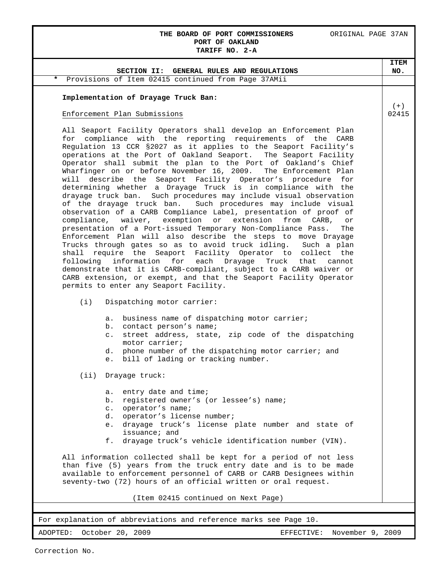## **THE BOARD OF PORT COMMISSIONERS** ORIGINAL PAGE 37AN **PORT OF OAKLAND TARIFF NO. 2-A**

| SECTION II: GENERAL RULES AND REGULATIONS                                                                                                                                                                                                                                                                                                                                                                                                                                                                                                                                                                                                                                                                                                                                                                                                                                                                                                                                                                                                                                                                                                                                                                                                                                                                                                                                                                                                                                                                                                                                                                                                                                                                                                                                                                                                                                                                                                                                                                                                                                                                                                                                                                                                                                                                                   | <b>ITEM</b><br>NO. |
|-----------------------------------------------------------------------------------------------------------------------------------------------------------------------------------------------------------------------------------------------------------------------------------------------------------------------------------------------------------------------------------------------------------------------------------------------------------------------------------------------------------------------------------------------------------------------------------------------------------------------------------------------------------------------------------------------------------------------------------------------------------------------------------------------------------------------------------------------------------------------------------------------------------------------------------------------------------------------------------------------------------------------------------------------------------------------------------------------------------------------------------------------------------------------------------------------------------------------------------------------------------------------------------------------------------------------------------------------------------------------------------------------------------------------------------------------------------------------------------------------------------------------------------------------------------------------------------------------------------------------------------------------------------------------------------------------------------------------------------------------------------------------------------------------------------------------------------------------------------------------------------------------------------------------------------------------------------------------------------------------------------------------------------------------------------------------------------------------------------------------------------------------------------------------------------------------------------------------------------------------------------------------------------------------------------------------------|--------------------|
| Provisions of Item 02415 continued from Page 37AMii<br>*                                                                                                                                                                                                                                                                                                                                                                                                                                                                                                                                                                                                                                                                                                                                                                                                                                                                                                                                                                                                                                                                                                                                                                                                                                                                                                                                                                                                                                                                                                                                                                                                                                                                                                                                                                                                                                                                                                                                                                                                                                                                                                                                                                                                                                                                    |                    |
|                                                                                                                                                                                                                                                                                                                                                                                                                                                                                                                                                                                                                                                                                                                                                                                                                                                                                                                                                                                                                                                                                                                                                                                                                                                                                                                                                                                                                                                                                                                                                                                                                                                                                                                                                                                                                                                                                                                                                                                                                                                                                                                                                                                                                                                                                                                             |                    |
| Implementation of Drayage Truck Ban:                                                                                                                                                                                                                                                                                                                                                                                                                                                                                                                                                                                                                                                                                                                                                                                                                                                                                                                                                                                                                                                                                                                                                                                                                                                                                                                                                                                                                                                                                                                                                                                                                                                                                                                                                                                                                                                                                                                                                                                                                                                                                                                                                                                                                                                                                        |                    |
|                                                                                                                                                                                                                                                                                                                                                                                                                                                                                                                                                                                                                                                                                                                                                                                                                                                                                                                                                                                                                                                                                                                                                                                                                                                                                                                                                                                                                                                                                                                                                                                                                                                                                                                                                                                                                                                                                                                                                                                                                                                                                                                                                                                                                                                                                                                             | $(+)$              |
|                                                                                                                                                                                                                                                                                                                                                                                                                                                                                                                                                                                                                                                                                                                                                                                                                                                                                                                                                                                                                                                                                                                                                                                                                                                                                                                                                                                                                                                                                                                                                                                                                                                                                                                                                                                                                                                                                                                                                                                                                                                                                                                                                                                                                                                                                                                             |                    |
| Enforcement Plan Submissions<br>All Seaport Facility Operators shall develop an Enforcement Plan<br>for compliance with the reporting requirements of the CARB<br>Regulation 13 CCR §2027 as it applies to the Seaport Facility's<br>operations at the Port of Oakland Seaport. The Seaport Facility<br>Operator shall submit the plan to the Port of Oakland's Chief<br>Wharfinger on or before November 16, 2009.<br>The Enforcement Plan<br>will describe the Seaport Facility Operator's procedure<br>for<br>determining whether a Drayage Truck is in compliance with the<br>drayage truck ban. Such procedures may include visual observation<br>of the drayage truck ban. Such procedures may include visual<br>observation of a CARB Compliance Label, presentation of proof of<br>compliance, waiver, exemption or extension from CARB,<br>or<br>presentation of a Port-issued Temporary Non-Compliance Pass.<br>The<br>Enforcement Plan will also describe the steps to move Drayage<br>Trucks through gates so as to avoid truck idling.<br>Such a plan<br>shall require the Seaport Facility Operator to collect the<br>following information<br>each<br>Drayage<br>for<br>Truck<br>that<br>cannot<br>demonstrate that it is CARB-compliant, subject to a CARB waiver or<br>CARB extension, or exempt, and that the Seaport Facility Operator<br>permits to enter any Seaport Facility.<br>Dispatching motor carrier:<br>(i)<br>business name of dispatching motor carrier;<br>а.<br>b.<br>contact person's name;<br>street address, state, zip code of the dispatching<br>$\circ$ .<br>motor carrier;<br>phone number of the dispatching motor carrier; and<br>d.<br>bill of lading or tracking number.<br>e.<br>(ii) Drayage truck:<br>entry date and time;<br>a.<br>registered owner's (or lessee's) name;<br>b.<br>operator's name;<br>$\circ$ .<br>d. operator's license number;<br>drayage truck's license plate number and state of<br>e.<br>issuance; and<br>f.<br>drayage truck's vehicle identification number (VIN).<br>All information collected shall be kept for a period of not less<br>than five (5) years from the truck entry date and is to be made<br>available to enforcement personnel of CARB or CARB Designees within<br>seventy-two (72) hours of an official written or oral request. | 02415              |
| (Item 02415 continued on Next Page)                                                                                                                                                                                                                                                                                                                                                                                                                                                                                                                                                                                                                                                                                                                                                                                                                                                                                                                                                                                                                                                                                                                                                                                                                                                                                                                                                                                                                                                                                                                                                                                                                                                                                                                                                                                                                                                                                                                                                                                                                                                                                                                                                                                                                                                                                         |                    |
|                                                                                                                                                                                                                                                                                                                                                                                                                                                                                                                                                                                                                                                                                                                                                                                                                                                                                                                                                                                                                                                                                                                                                                                                                                                                                                                                                                                                                                                                                                                                                                                                                                                                                                                                                                                                                                                                                                                                                                                                                                                                                                                                                                                                                                                                                                                             |                    |
| For explanation of abbreviations and reference marks see Page 10.                                                                                                                                                                                                                                                                                                                                                                                                                                                                                                                                                                                                                                                                                                                                                                                                                                                                                                                                                                                                                                                                                                                                                                                                                                                                                                                                                                                                                                                                                                                                                                                                                                                                                                                                                                                                                                                                                                                                                                                                                                                                                                                                                                                                                                                           |                    |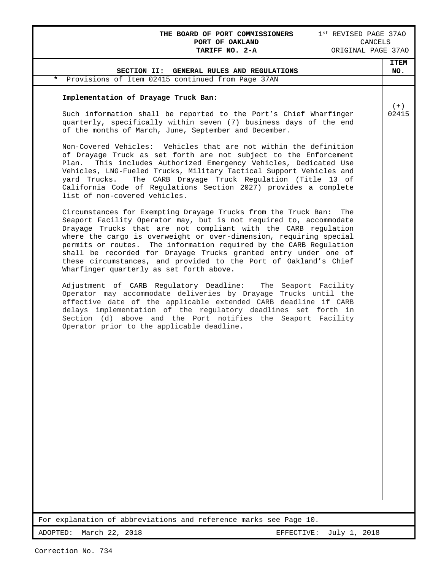**THE BOARD OF PORT COMMISSIONERS** 1<sup>st</sup> REVISED PAGE 37AO **PORT OF OAKLAND** CANCELS **PORT OF OAKLAND<br>TARIFF NO. 2-A** 

| SECTION II: GENERAL RULES AND REGULATIONS                                                                                                                                                                                                                                                                                                                                                                                                                                                                                                    | <b>ITEM</b><br>NO. |
|----------------------------------------------------------------------------------------------------------------------------------------------------------------------------------------------------------------------------------------------------------------------------------------------------------------------------------------------------------------------------------------------------------------------------------------------------------------------------------------------------------------------------------------------|--------------------|
| *<br>Provisions of Item 02415 continued from Page 37AN                                                                                                                                                                                                                                                                                                                                                                                                                                                                                       |                    |
| Implementation of Drayage Truck Ban:                                                                                                                                                                                                                                                                                                                                                                                                                                                                                                         |                    |
| Such information shall be reported to the Port's Chief Wharfinger<br>quarterly, specifically within seven (7) business days of the end<br>of the months of March, June, September and December.                                                                                                                                                                                                                                                                                                                                              | $(+)$<br>02415     |
| Non-Covered Vehicles: Vehicles that are not within the definition<br>of Drayage Truck as set forth are not subject to the Enforcement<br>This includes Authorized Emergency Vehicles, Dedicated Use<br>Plan.<br>Vehicles, LNG-Fueled Trucks, Military Tactical Support Vehicles and<br>The CARB Drayage Truck Regulation (Title 13 of<br>yard Trucks.<br>California Code of Regulations Section 2027) provides a complete<br>list of non-covered vehicles.                                                                                   |                    |
| Circumstances for Exempting Drayage Trucks from the Truck Ban:<br>The<br>Seaport Facility Operator may, but is not required to, accommodate<br>Drayage Trucks that are not compliant with the CARB regulation<br>where the cargo is overweight or over-dimension, requiring special<br>permits or routes. The information required by the CARB Regulation<br>shall be recorded for Drayage Trucks granted entry under one of<br>these circumstances, and provided to the Port of Oakland's Chief<br>Wharfinger quarterly as set forth above. |                    |
| Adjustment of CARB Regulatory Deadline:<br>The Seaport Facility<br>Operator may accommodate deliveries by Drayage Trucks until the<br>effective date of the applicable extended CARB deadline if CARB<br>delays implementation of the regulatory deadlines set forth in<br>Section (d) above and the Port notifies the Seaport Facility<br>Operator prior to the applicable deadline.                                                                                                                                                        |                    |
|                                                                                                                                                                                                                                                                                                                                                                                                                                                                                                                                              |                    |
|                                                                                                                                                                                                                                                                                                                                                                                                                                                                                                                                              |                    |
|                                                                                                                                                                                                                                                                                                                                                                                                                                                                                                                                              |                    |
|                                                                                                                                                                                                                                                                                                                                                                                                                                                                                                                                              |                    |
|                                                                                                                                                                                                                                                                                                                                                                                                                                                                                                                                              |                    |
| For explanation of abbreviations and reference marks see Page 10.                                                                                                                                                                                                                                                                                                                                                                                                                                                                            |                    |
| ADOPTED:<br>March 22, 2018<br>EFFECTIVE:<br>July 1, 2018                                                                                                                                                                                                                                                                                                                                                                                                                                                                                     |                    |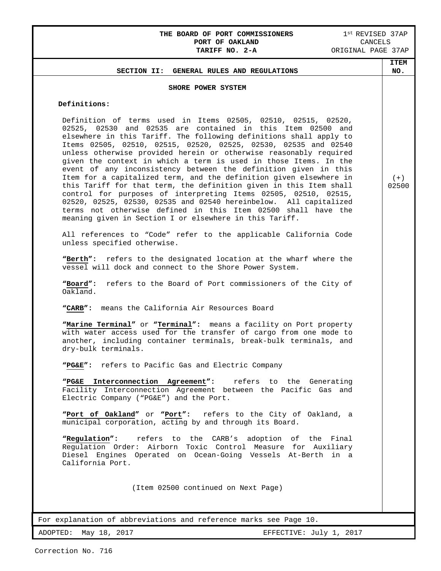# THE BOARD OF PORT COMMISSIONERS 1<sup>st</sup> REVISED 37AP<br>PORT OF OAKLAND **1st REVISED** PORT OF OAKLAND<br>TARIFF NO. 2-A

| IARIFF NV. 4-A<br>JALULINAL PAUL JIAE                                                                                                                                                                                                                                                                                                                                                                                                                                                                                                                                                                                                                                                                                                                                                                                                                                                             |                    |
|---------------------------------------------------------------------------------------------------------------------------------------------------------------------------------------------------------------------------------------------------------------------------------------------------------------------------------------------------------------------------------------------------------------------------------------------------------------------------------------------------------------------------------------------------------------------------------------------------------------------------------------------------------------------------------------------------------------------------------------------------------------------------------------------------------------------------------------------------------------------------------------------------|--------------------|
| SECTION II: GENERAL RULES AND REGULATIONS                                                                                                                                                                                                                                                                                                                                                                                                                                                                                                                                                                                                                                                                                                                                                                                                                                                         | <b>ITEM</b><br>NO. |
|                                                                                                                                                                                                                                                                                                                                                                                                                                                                                                                                                                                                                                                                                                                                                                                                                                                                                                   |                    |
| SHORE POWER SYSTEM                                                                                                                                                                                                                                                                                                                                                                                                                                                                                                                                                                                                                                                                                                                                                                                                                                                                                |                    |
| Definitions:                                                                                                                                                                                                                                                                                                                                                                                                                                                                                                                                                                                                                                                                                                                                                                                                                                                                                      |                    |
| Definition of terms used in Items 02505, 02510, 02515, 02520,<br>02525, 02530 and 02535 are contained in this Item 02500 and<br>elsewhere in this Tariff. The following definitions shall apply to<br>Items 02505, 02510, 02515, 02520, 02525, 02530, 02535 and 02540<br>unless otherwise provided herein or otherwise reasonably required<br>given the context in which a term is used in those Items. In the<br>event of any inconsistency between the definition given in this<br>Item for a capitalized term, and the definition given elsewhere in<br>this Tariff for that term, the definition given in this Item shall<br>control for purposes of interpreting Items 02505, 02510, 02515,<br>02520, 02525, 02530, 02535 and 02540 hereinbelow. All capitalized<br>terms not otherwise defined in this Item 02500 shall have the<br>meaning given in Section I or elsewhere in this Tariff. | $(+)$<br>02500     |
| All references to "Code" refer to the applicable California Code<br>unless specified otherwise.                                                                                                                                                                                                                                                                                                                                                                                                                                                                                                                                                                                                                                                                                                                                                                                                   |                    |
| "Berth": refers to the designated location at the wharf where the<br>vessel will dock and connect to the Shore Power System.                                                                                                                                                                                                                                                                                                                                                                                                                                                                                                                                                                                                                                                                                                                                                                      |                    |
| "Board": refers to the Board of Port commissioners of the City of<br>Oakland.                                                                                                                                                                                                                                                                                                                                                                                                                                                                                                                                                                                                                                                                                                                                                                                                                     |                    |
| "CARB": means the California Air Resources Board                                                                                                                                                                                                                                                                                                                                                                                                                                                                                                                                                                                                                                                                                                                                                                                                                                                  |                    |
| "Marine Terminal" or "Terminal": means a facility on Port property<br>with water access used for the transfer of cargo from one mode to<br>another, including container terminals, break-bulk terminals, and<br>dry-bulk terminals.                                                                                                                                                                                                                                                                                                                                                                                                                                                                                                                                                                                                                                                               |                    |
| "PG&E": refers to Pacific Gas and Electric Company                                                                                                                                                                                                                                                                                                                                                                                                                                                                                                                                                                                                                                                                                                                                                                                                                                                |                    |
| "PG&E Interconnection Agreement": refers to the Generating<br>Facility Interconnection Agreement between the Pacific Gas and<br>Electric Company ("PG&E") and the Port.                                                                                                                                                                                                                                                                                                                                                                                                                                                                                                                                                                                                                                                                                                                           |                    |
| "Port of Oakland" or "Port": refers to the City of Oakland, a<br>municipal corporation, acting by and through its Board.                                                                                                                                                                                                                                                                                                                                                                                                                                                                                                                                                                                                                                                                                                                                                                          |                    |
| "Regulation":<br>refers to the CARB's adoption of the Final<br>Regulation Order: Airborn Toxic Control Measure for Auxiliary<br>Diesel Engines Operated on Ocean-Going Vessels At-Berth in a<br>California Port.                                                                                                                                                                                                                                                                                                                                                                                                                                                                                                                                                                                                                                                                                  |                    |
| (Item 02500 continued on Next Page)                                                                                                                                                                                                                                                                                                                                                                                                                                                                                                                                                                                                                                                                                                                                                                                                                                                               |                    |
| For explanation of abbreviations and reference marks see Page 10.                                                                                                                                                                                                                                                                                                                                                                                                                                                                                                                                                                                                                                                                                                                                                                                                                                 |                    |
|                                                                                                                                                                                                                                                                                                                                                                                                                                                                                                                                                                                                                                                                                                                                                                                                                                                                                                   |                    |
| ADOPTED:<br>May 18, 2017<br>EFFECTIVE: July 1, 2017                                                                                                                                                                                                                                                                                                                                                                                                                                                                                                                                                                                                                                                                                                                                                                                                                                               |                    |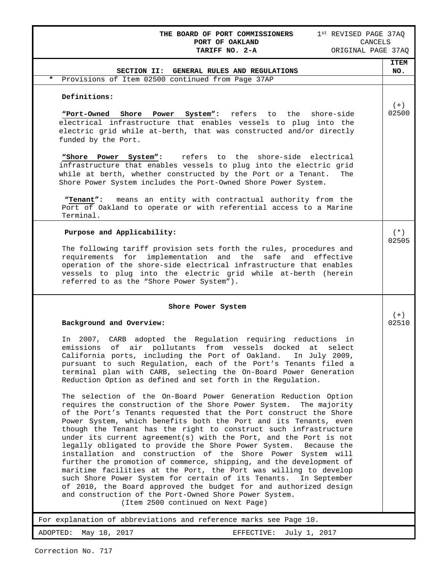**THE BOARD OF PORT COMMISSIONERS** 1<sup>st</sup> REVISED PAGE 37AQ **PORT OF OAKLAND** CANCELS **PORT OF OAKLAND<br>TARIFF NO. 2-A** 

| SECTION II: GENERAL RULES AND REGULATIONS                                                                                                                                                                                                                                                                                                                                                                                                                                                                                                                                                                                                                                                                                                                                                                                                                                                                                                              | <b>ITEM</b><br>NO. |
|--------------------------------------------------------------------------------------------------------------------------------------------------------------------------------------------------------------------------------------------------------------------------------------------------------------------------------------------------------------------------------------------------------------------------------------------------------------------------------------------------------------------------------------------------------------------------------------------------------------------------------------------------------------------------------------------------------------------------------------------------------------------------------------------------------------------------------------------------------------------------------------------------------------------------------------------------------|--------------------|
| $\star$<br>Provisions of Item 02500 continued from Page 37AP                                                                                                                                                                                                                                                                                                                                                                                                                                                                                                                                                                                                                                                                                                                                                                                                                                                                                           |                    |
| Definitions:                                                                                                                                                                                                                                                                                                                                                                                                                                                                                                                                                                                                                                                                                                                                                                                                                                                                                                                                           |                    |
| refers to the<br>"Port-Owned<br>Shore<br>System":<br>shore-side<br>Power<br>electrical infrastructure that enables vessels to plug into the<br>electric grid while at-berth, that was constructed and/or directly<br>funded by the Port.                                                                                                                                                                                                                                                                                                                                                                                                                                                                                                                                                                                                                                                                                                               | $(+)$<br>02500     |
| refers to the shore-side electrical<br>"Shore Power<br>System":<br>infrastructure that enables vessels to plug into the electric grid<br>while at berth, whether constructed by the Port or a Tenant.<br>The<br>Shore Power System includes the Port-Owned Shore Power System.                                                                                                                                                                                                                                                                                                                                                                                                                                                                                                                                                                                                                                                                         |                    |
| means an entity with contractual authority from the<br>"Tenant":<br>Port of Oakland to operate or with referential access to a Marine<br>Terminal.                                                                                                                                                                                                                                                                                                                                                                                                                                                                                                                                                                                                                                                                                                                                                                                                     |                    |
| Purpose and Applicability:                                                                                                                                                                                                                                                                                                                                                                                                                                                                                                                                                                                                                                                                                                                                                                                                                                                                                                                             | $(* )$             |
| The following tariff provision sets forth the rules, procedures and<br>requirements for<br>implementation and the safe and effective<br>operation of the shore-side electrical infrastructure that enables<br>vessels to plug into the electric grid while at-berth (herein<br>referred to as the "Shore Power System").                                                                                                                                                                                                                                                                                                                                                                                                                                                                                                                                                                                                                               | 02505              |
|                                                                                                                                                                                                                                                                                                                                                                                                                                                                                                                                                                                                                                                                                                                                                                                                                                                                                                                                                        |                    |
| Shore Power System                                                                                                                                                                                                                                                                                                                                                                                                                                                                                                                                                                                                                                                                                                                                                                                                                                                                                                                                     |                    |
| Background and Overview:                                                                                                                                                                                                                                                                                                                                                                                                                                                                                                                                                                                                                                                                                                                                                                                                                                                                                                                               | $(+)$<br>02510     |
| In 2007, CARB adopted the Regulation requiring reductions in<br>air pollutants from vessels docked<br>emissions<br>of<br>at<br>select<br>California ports, including the Port of Oakland.<br>In July 2009,<br>pursuant to such Regulation, each of the Port's Tenants filed a<br>terminal plan with CARB, selecting the On-Board Power Generation<br>Reduction Option as defined and set forth in the Regulation.                                                                                                                                                                                                                                                                                                                                                                                                                                                                                                                                      |                    |
| The selection of the On-Board Power Generation Reduction Option<br>requires the construction of the Shore Power System.<br>The majority<br>of the Port's Tenants requested that the Port construct the Shore<br>Power System, which benefits both the Port and its Tenants, even<br>though the Tenant has the right to construct such infrastructure<br>under its current agreement(s) with the Port, and the Port is not<br>legally obligated to provide the Shore Power System.<br>Because the<br>installation and construction of the Shore Power System will<br>further the promotion of commerce, shipping, and the development of<br>maritime facilities at the Port, the Port was willing to develop<br>such Shore Power System for certain of its Tenants.<br>In September<br>of 2010, the Board approved the budget for and authorized design<br>and construction of the Port-Owned Shore Power System.<br>(Item 2500 continued on Next Page) |                    |
| For explanation of abbreviations and reference marks see Page 10.                                                                                                                                                                                                                                                                                                                                                                                                                                                                                                                                                                                                                                                                                                                                                                                                                                                                                      |                    |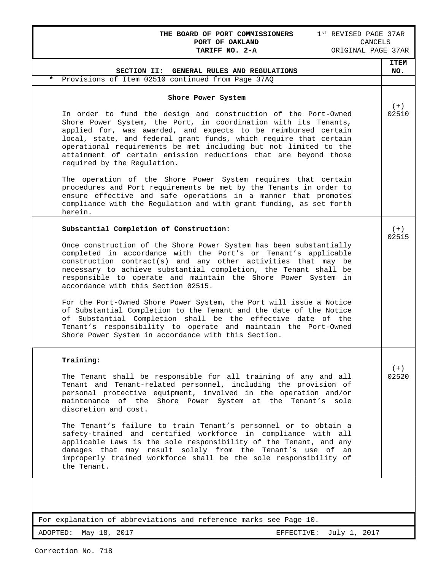## **THE BOARD OF PORT COMMISSIONERS** 1<sup>st</sup> REVISED PAGE 37AR **PORT OF OAKLAND** CANCELS **PORT OF OAKLAND CANCELS**<br> **CANCELS**<br> **TARIFF NO. 2-A** ORIGINAL PAGE 37AR TARIFF NO. 2-A

|                                                                                                                                                                                                                                                                                                                                                                                                                                                | <b>ITEM</b>    |
|------------------------------------------------------------------------------------------------------------------------------------------------------------------------------------------------------------------------------------------------------------------------------------------------------------------------------------------------------------------------------------------------------------------------------------------------|----------------|
| SECTION II: GENERAL RULES AND REGULATIONS<br>$\star$<br>Provisions of Item 02510 continued from Page 37AQ                                                                                                                                                                                                                                                                                                                                      | NO.            |
|                                                                                                                                                                                                                                                                                                                                                                                                                                                |                |
| Shore Power System                                                                                                                                                                                                                                                                                                                                                                                                                             | $(+)$          |
| In order to fund the design and construction of the Port-Owned<br>Shore Power System, the Port, in coordination with its Tenants,<br>applied for, was awarded, and expects to be reimbursed certain<br>local, state, and federal grant funds, which require that certain<br>operational requirements be met including but not limited to the<br>attainment of certain emission reductions that are beyond those<br>required by the Regulation. | 02510          |
| The operation of the Shore Power System requires that certain<br>procedures and Port requirements be met by the Tenants in order to<br>ensure effective and safe operations in a manner that promotes<br>compliance with the Regulation and with grant funding, as set forth<br>herein.                                                                                                                                                        |                |
| Substantial Completion of Construction:                                                                                                                                                                                                                                                                                                                                                                                                        | $(+)$<br>02515 |
| Once construction of the Shore Power System has been substantially<br>completed in accordance with the Port's or Tenant's applicable<br>construction contract(s) and any other activities that may be<br>necessary to achieve substantial completion, the Tenant shall be<br>responsible to operate and maintain the Shore Power System in<br>accordance with this Section 02515.                                                              |                |
| For the Port-Owned Shore Power System, the Port will issue a Notice<br>of Substantial Completion to the Tenant and the date of the Notice<br>of Substantial Completion shall be the effective date of the<br>Tenant's responsibility to operate and maintain the Port-Owned<br>Shore Power System in accordance with this Section.                                                                                                             |                |
| Training:                                                                                                                                                                                                                                                                                                                                                                                                                                      | $(+)$          |
| The Tenant shall be responsible for all training of any and all<br>Tenant and Tenant-related personnel, including the provision of<br>personal protective equipment, involved in the operation and/or<br>maintenance of the Shore Power System at the Tenant's<br>sole<br>discretion and cost.                                                                                                                                                 | 02520          |
| The Tenant's failure to train Tenant's personnel or to obtain a<br>safety-trained and certified workforce in compliance with all<br>applicable Laws is the sole responsibility of the Tenant, and any<br>damages that may result solely from the Tenant's use of an<br>improperly trained workforce shall be the sole responsibility of<br>the Tenant.                                                                                         |                |
|                                                                                                                                                                                                                                                                                                                                                                                                                                                |                |
| For explanation of abbreviations and reference marks see Page 10.                                                                                                                                                                                                                                                                                                                                                                              |                |
| May 18, 2017<br>ADOPTED:<br>EFFECTIVE:<br>July 1, 2017                                                                                                                                                                                                                                                                                                                                                                                         |                |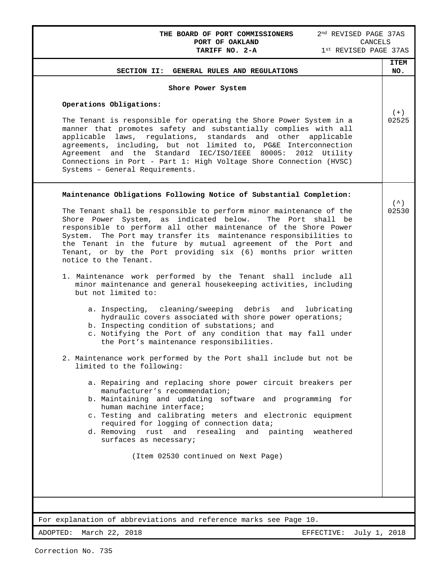| 2 <sup>nd</sup> REVISED PAGE 37AS<br>THE BOARD OF PORT COMMISSIONERS<br>PORT OF OAKLAND<br>CANCELS<br>TARIFF NO. 2-A<br>1st REVISED PAGE 37AS                                                                                                                                                                                                                                                                                                                                                                                                                                                                                                                      |             |
|--------------------------------------------------------------------------------------------------------------------------------------------------------------------------------------------------------------------------------------------------------------------------------------------------------------------------------------------------------------------------------------------------------------------------------------------------------------------------------------------------------------------------------------------------------------------------------------------------------------------------------------------------------------------|-------------|
|                                                                                                                                                                                                                                                                                                                                                                                                                                                                                                                                                                                                                                                                    | <b>ITEM</b> |
| SECTION II: GENERAL RULES AND REGULATIONS                                                                                                                                                                                                                                                                                                                                                                                                                                                                                                                                                                                                                          | NO.         |
| Shore Power System                                                                                                                                                                                                                                                                                                                                                                                                                                                                                                                                                                                                                                                 |             |
| Operations Obligations:                                                                                                                                                                                                                                                                                                                                                                                                                                                                                                                                                                                                                                            |             |
| The Tenant is responsible for operating the Shore Power System in a<br>manner that promotes safety and substantially complies with all<br>applicable laws, regulations, standards and other applicable<br>agreements, including, but not limited to, PG&E Interconnection<br>Agreement and the Standard IEC/ISO/IEEE 80005:<br>2012 Utility<br>Connections in Port - Part 1: High Voltage Shore Connection (HVSC)<br>Systems - General Requirements.                                                                                                                                                                                                               | 02525       |
| Maintenance Obligations Following Notice of Substantial Completion:                                                                                                                                                                                                                                                                                                                                                                                                                                                                                                                                                                                                |             |
| The Tenant shall be responsible to perform minor maintenance of the<br>Shore Power System, as indicated below.<br>The Port shall be<br>responsible to perform all other maintenance of the Shore Power<br>The Port may transfer its maintenance responsibilities to<br>System.<br>the Tenant in the future by mutual agreement of the Port and<br>Tenant, or by the Port providing six (6) months prior written<br>notice to the Tenant.<br>1. Maintenance work performed by the Tenant shall include all<br>minor maintenance and general housekeeping activities, including<br>but not limited to:<br>a. Inspecting, cleaning/sweeping debris and<br>lubricating | 02530       |
| hydraulic covers associated with shore power operations;<br>b. Inspecting condition of substations; and<br>c. Notifying the Port of any condition that may fall under<br>the Port's maintenance responsibilities.<br>2. Maintenance work performed by the Port shall include but not be<br>limited to the following:                                                                                                                                                                                                                                                                                                                                               |             |
| a. Repairing and replacing shore power circuit breakers per<br>manufacturer's recommendation;<br>b. Maintaining and updating software and programming for<br>human machine interface;<br>c. Testing and calibrating meters and electronic equipment<br>required for logging of connection data;<br>d. Removing rust and resealing and painting weathered<br>surfaces as necessary;                                                                                                                                                                                                                                                                                 |             |
| (Item 02530 continued on Next Page)                                                                                                                                                                                                                                                                                                                                                                                                                                                                                                                                                                                                                                |             |
| For explanation of abbreviations and reference marks see Page 10.                                                                                                                                                                                                                                                                                                                                                                                                                                                                                                                                                                                                  |             |
| ADOPTED: March 22, 2018<br>July 1, 2018<br>EFFECTIVE:                                                                                                                                                                                                                                                                                                                                                                                                                                                                                                                                                                                                              |             |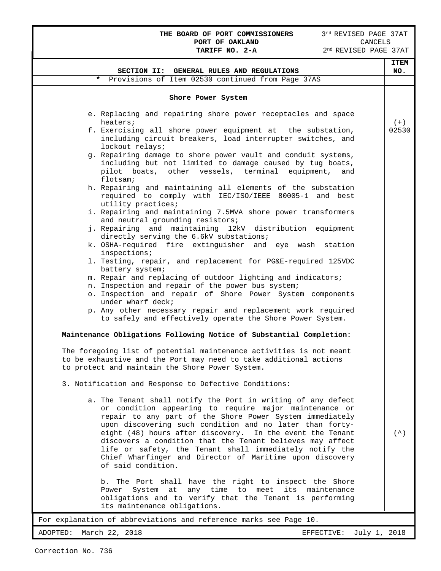# **THE BOARD OF PORT COMMISSIONERS** 3<sup>rd</sup> REVISED PAGE 37AT **PORT OF OAKLAND** CANCELS **PORT OF OAKLAND** CANCELS

|                                                                                                                                                                                                                                                                                                                                                                                                                                                                                                                       | <b>ITEM</b>      |
|-----------------------------------------------------------------------------------------------------------------------------------------------------------------------------------------------------------------------------------------------------------------------------------------------------------------------------------------------------------------------------------------------------------------------------------------------------------------------------------------------------------------------|------------------|
| SECTION II: GENERAL RULES AND REGULATIONS                                                                                                                                                                                                                                                                                                                                                                                                                                                                             | NO.              |
| Provisions of Item 02530 continued from Page 37AS<br>*                                                                                                                                                                                                                                                                                                                                                                                                                                                                |                  |
| Shore Power System                                                                                                                                                                                                                                                                                                                                                                                                                                                                                                    |                  |
| e. Replacing and repairing shore power receptacles and space<br>heaters;                                                                                                                                                                                                                                                                                                                                                                                                                                              | $(+)$            |
| f. Exercising all shore power equipment at the substation,<br>including circuit breakers, load interrupter switches, and<br>lockout relays;                                                                                                                                                                                                                                                                                                                                                                           | 02530            |
| g. Repairing damage to shore power vault and conduit systems,<br>including but not limited to damage caused by tug boats,<br>pilot boats, other vessels, terminal equipment,<br>and<br>flotsam;                                                                                                                                                                                                                                                                                                                       |                  |
| h. Repairing and maintaining all elements of the substation<br>required to comply with IEC/ISO/IEEE 80005-1 and best<br>utility practices;                                                                                                                                                                                                                                                                                                                                                                            |                  |
| i. Repairing and maintaining 7.5MVA shore power transformers<br>and neutral grounding resistors;                                                                                                                                                                                                                                                                                                                                                                                                                      |                  |
| j. Repairing and maintaining 12kV distribution equipment<br>directly serving the 6.6kV substations;                                                                                                                                                                                                                                                                                                                                                                                                                   |                  |
| k. OSHA-required fire extinguisher and eye wash station<br>inspections;                                                                                                                                                                                                                                                                                                                                                                                                                                               |                  |
| 1. Testing, repair, and replacement for PG&E-required 125VDC<br>battery system;                                                                                                                                                                                                                                                                                                                                                                                                                                       |                  |
| m. Repair and replacing of outdoor lighting and indicators;<br>n. Inspection and repair of the power bus system;                                                                                                                                                                                                                                                                                                                                                                                                      |                  |
| o. Inspection and repair of Shore Power System components<br>under wharf deck;                                                                                                                                                                                                                                                                                                                                                                                                                                        |                  |
| p. Any other necessary repair and replacement work required<br>to safely and effectively operate the Shore Power System.                                                                                                                                                                                                                                                                                                                                                                                              |                  |
| Maintenance Obligations Following Notice of Substantial Completion:                                                                                                                                                                                                                                                                                                                                                                                                                                                   |                  |
| The foregoing list of potential maintenance activities is not meant<br>to be exhaustive and the Port may need to take additional actions<br>to protect and maintain the Shore Power System.                                                                                                                                                                                                                                                                                                                           |                  |
| 3. Notification and Response to Defective Conditions:                                                                                                                                                                                                                                                                                                                                                                                                                                                                 |                  |
| a. The Tenant shall notify the Port in writing of any defect<br>or condition appearing to require major maintenance or<br>repair to any part of the Shore Power System immediately<br>upon discovering such condition and no later than forty-<br>eight (48) hours after discovery. In the event the Tenant<br>discovers a condition that the Tenant believes may affect<br>life or safety, the Tenant shall immediately notify the<br>Chief Wharfinger and Director of Maritime upon discovery<br>of said condition. | $($ $\wedge$ $)$ |
| The Port shall have the right to inspect the Shore<br>b.<br>any time to meet its maintenance<br>System at<br>Power<br>obligations and to verify that the Tenant is performing<br>its maintenance obligations.                                                                                                                                                                                                                                                                                                         |                  |
| For explanation of abbreviations and reference marks see Page 10.                                                                                                                                                                                                                                                                                                                                                                                                                                                     |                  |
| ADOPTED:<br>March 22, 2018<br>July 1, 2018<br>EFFECTIVE:                                                                                                                                                                                                                                                                                                                                                                                                                                                              |                  |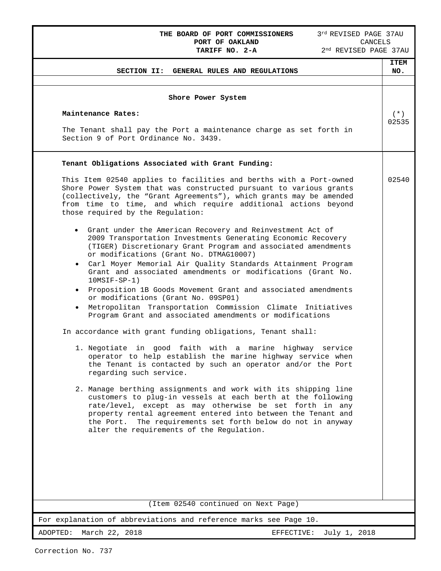# **THE BOARD OF PORT COMMISSIONERS** 3<sup>rd</sup> REVISED PAGE 37AU **PORT OF OAKLAND** CANCELS **PORT OF OAKLAND<br>TARIFF NO. 2-A**

| GENERAL RULES AND REGULATIONS<br>SECTION II:                                                                                                                                                                                                                                                                                                                          | <b>ITEM</b><br>NO. |
|-----------------------------------------------------------------------------------------------------------------------------------------------------------------------------------------------------------------------------------------------------------------------------------------------------------------------------------------------------------------------|--------------------|
| Shore Power System                                                                                                                                                                                                                                                                                                                                                    |                    |
| Maintenance Rates:                                                                                                                                                                                                                                                                                                                                                    | $(* )$             |
| The Tenant shall pay the Port a maintenance charge as set forth in<br>Section 9 of Port Ordinance No. 3439.                                                                                                                                                                                                                                                           | 02535              |
| Tenant Obligations Associated with Grant Funding:                                                                                                                                                                                                                                                                                                                     |                    |
| This Item 02540 applies to facilities and berths with a Port-owned<br>Shore Power System that was constructed pursuant to various grants<br>(collectively, the "Grant Agreements"), which grants may be amended<br>from time to time, and which require additional actions beyond<br>those required by the Regulation:                                                | 02540              |
| • Grant under the American Recovery and Reinvestment Act of<br>2009 Transportation Investments Generating Economic Recovery<br>(TIGER) Discretionary Grant Program and associated amendments<br>or modifications (Grant No. DTMAG10007)                                                                                                                               |                    |
| . Carl Moyer Memorial Air Quality Standards Attainment Program<br>Grant and associated amendments or modifications (Grant No.<br>$10MSIF-SP-1)$                                                                                                                                                                                                                       |                    |
| • Proposition 1B Goods Movement Grant and associated amendments<br>or modifications (Grant No. 09SP01)<br>Metropolitan Transportation Commission Climate Initiatives                                                                                                                                                                                                  |                    |
| Program Grant and associated amendments or modifications<br>In accordance with grant funding obligations, Tenant shall:                                                                                                                                                                                                                                               |                    |
| 1. Negotiate in good faith with a marine highway service<br>operator to help establish the marine highway service when<br>the Tenant is contacted by such an operator and/or the Port<br>regarding such service.                                                                                                                                                      |                    |
| 2. Manage berthing assignments and work with its shipping line<br>customers to plug-in vessels at each berth at the following<br>rate/level, except as may otherwise be set forth in any<br>property rental agreement entered into between the Tenant and<br>the Port. The requirements set forth below do not in anyway<br>alter the requirements of the Regulation. |                    |
| (Item 02540 continued on Next Page)                                                                                                                                                                                                                                                                                                                                   |                    |
| For explanation of abbreviations and reference marks see Page 10.                                                                                                                                                                                                                                                                                                     |                    |
| March 22, 2018<br>ADOPTED:<br>EFFECTIVE:<br>July 1, 2018                                                                                                                                                                                                                                                                                                              |                    |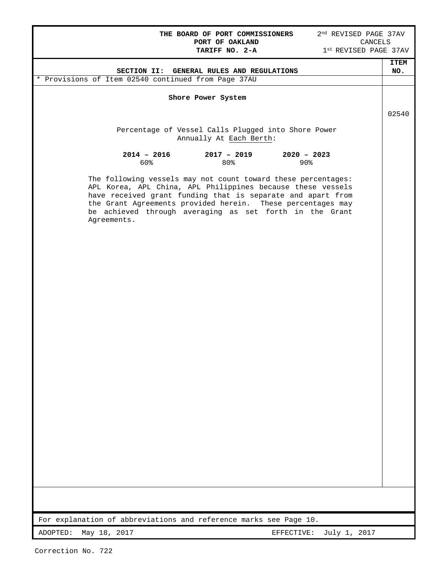**THE BOARD OF PORT COMMISSIONERS** 2<sup>nd</sup> REVISED PAGE 37AV **PORT OF OAKLAND** CANCELS PORT OF OAKLAND<br>TARIFF NO. 2-A

|                                                                                                                                                                                                                                                                                                                                      | <b>ITEM</b> |
|--------------------------------------------------------------------------------------------------------------------------------------------------------------------------------------------------------------------------------------------------------------------------------------------------------------------------------------|-------------|
| SECTION II: GENERAL RULES AND REGULATIONS                                                                                                                                                                                                                                                                                            | NO.         |
| * Provisions of Item 02540 continued from Page 37AU                                                                                                                                                                                                                                                                                  |             |
| Shore Power System                                                                                                                                                                                                                                                                                                                   |             |
|                                                                                                                                                                                                                                                                                                                                      | 02540       |
| Percentage of Vessel Calls Plugged into Shore Power<br>Annually At Each Berth:                                                                                                                                                                                                                                                       |             |
| $2020 - 2023$<br>$2014 - 2016$<br>$2017 - 2019$<br>60%<br>80%<br>$90\%$                                                                                                                                                                                                                                                              |             |
| The following vessels may not count toward these percentages:<br>APL Korea, APL China, APL Philippines because these vessels<br>have received grant funding that is separate and apart from<br>the Grant Agreements provided herein. These percentages may<br>be achieved through averaging as set forth in the Grant<br>Agreements. |             |
|                                                                                                                                                                                                                                                                                                                                      |             |
|                                                                                                                                                                                                                                                                                                                                      |             |
|                                                                                                                                                                                                                                                                                                                                      |             |
|                                                                                                                                                                                                                                                                                                                                      |             |
|                                                                                                                                                                                                                                                                                                                                      |             |
|                                                                                                                                                                                                                                                                                                                                      |             |
|                                                                                                                                                                                                                                                                                                                                      |             |
|                                                                                                                                                                                                                                                                                                                                      |             |
|                                                                                                                                                                                                                                                                                                                                      |             |
| For explanation of abbreviations and reference marks see Page 10.                                                                                                                                                                                                                                                                    |             |